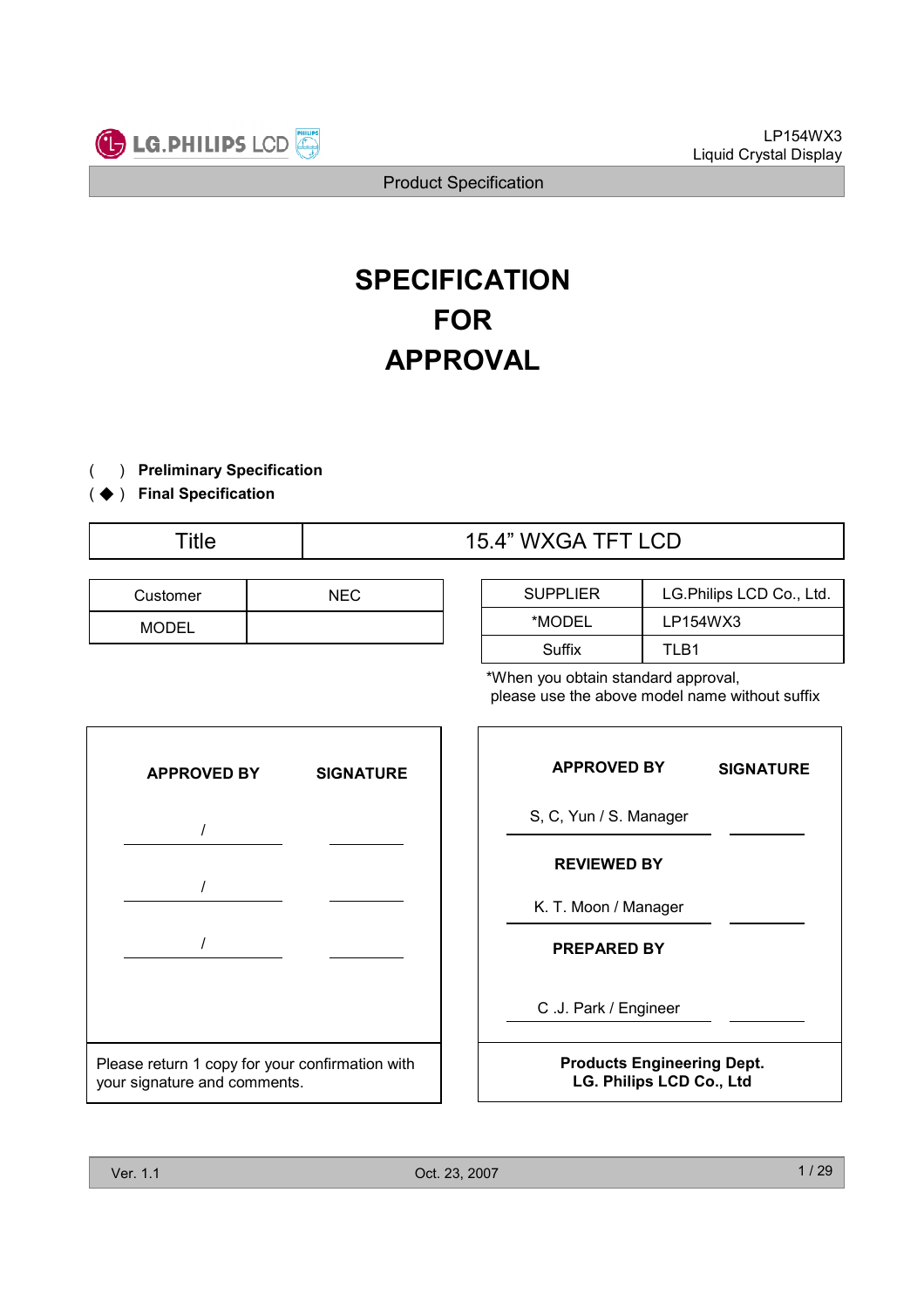

# SPECIFICATION FOR APPROVAL

- ) Preliminary Specification (
- (◆) Final Specification

Title  $\overline{15.4}$ " WXGA TFT LCD

| Customer | <b>NEC</b> |  |
|----------|------------|--|
|          |            |  |

| <b>SUPPLIER</b> | LG. Philips LCD Co., Ltd. |
|-----------------|---------------------------|
| *MODEL          | LP154WX3                  |
| Suffix          | TI R1                     |

\*When you obtain standard approval, please use the above model name without suffix



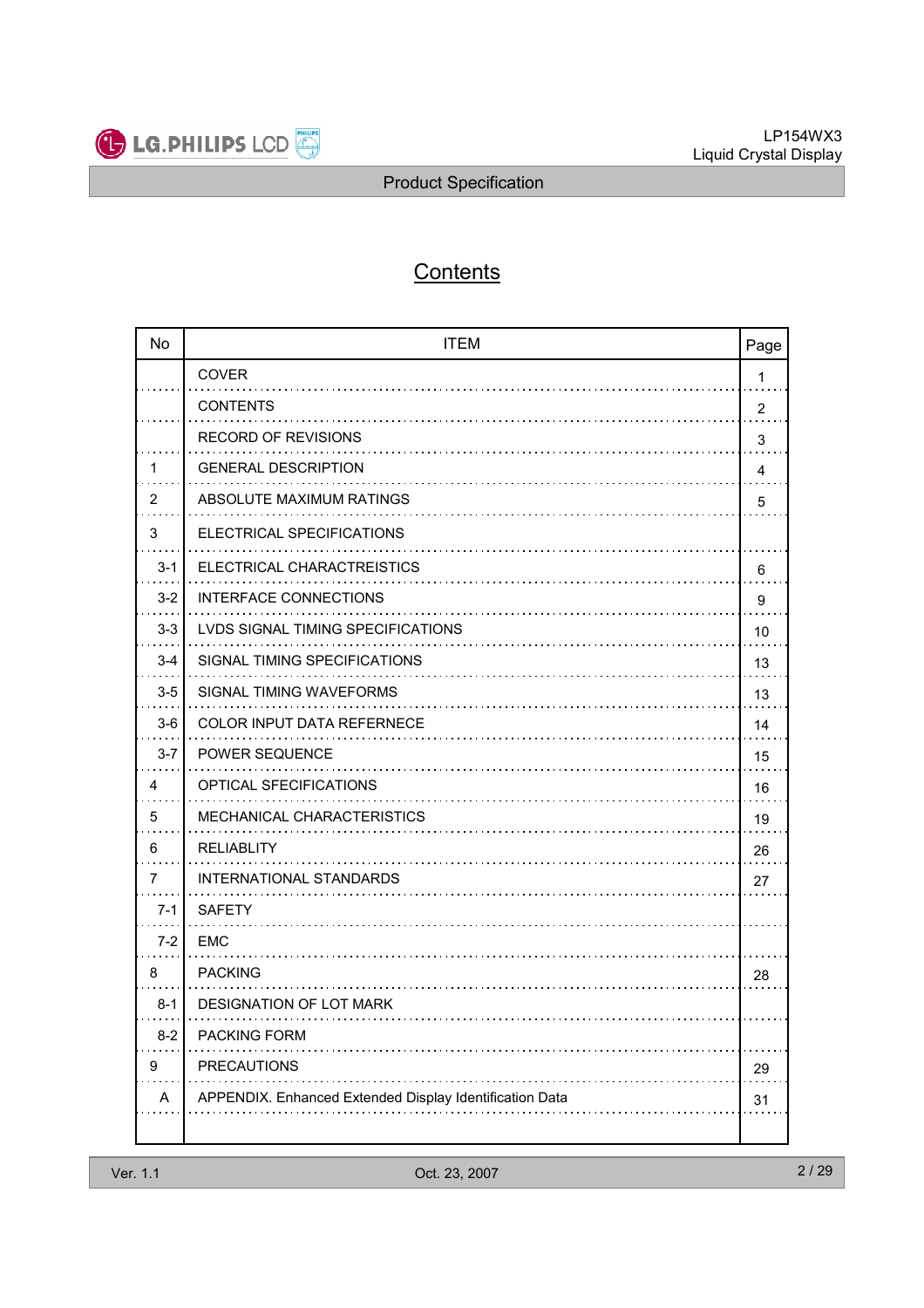

# **Contents**

| <b>No</b> | <b>ITEM</b>                                                | Page           |
|-----------|------------------------------------------------------------|----------------|
|           | <b>COVER</b>                                               | 1              |
|           | <b>CONTENTS</b>                                            | $\overline{2}$ |
|           | <b>RECORD OF REVISIONS</b>                                 | 3              |
| 1         | <b>GENERAL DESCRIPTION</b>                                 | 4              |
| 2         | ABSOLUTE MAXIMUM RATINGS                                   | 5              |
| 3         | ELECTRICAL SPECIFICATIONS                                  |                |
| $3 - 1$   | ELECTRICAL CHARACTREISTICS                                 | 6              |
| $3 - 2$   | <b>INTERFACE CONNECTIONS</b>                               | 9              |
| $3-3$     | LVDS SIGNAL TIMING SPECIFICATIONS                          | 10             |
| $3 - 4$   | SIGNAL TIMING SPECIFICATIONS                               | 13             |
| $3-5$     | SIGNAL TIMING WAVEFORMS                                    | 13             |
| $3-6$     | <b>COLOR INPUT DATA REFERNECE</b>                          | 14             |
| $3 - 7$   | POWER SEQUENCE                                             | 15             |
| 4         | OPTICAL SFECIFICATIONS                                     | 16             |
| 5         | MECHANICAL CHARACTERISTICS                                 | 19             |
| 6         | <b>RELIABLITY</b>                                          | 26             |
| 7         | INTERNATIONAL STANDARDS                                    | 27             |
| $7-1$     | <b>SAFETY</b>                                              |                |
| $7 - 2$   | EMC                                                        |                |
| 8         | <b>PACKING</b>                                             | 28             |
| $8-1$     | DESIGNATION OF LOT MARK                                    |                |
| $8 - 2$   | <b>PACKING FORM</b>                                        |                |
| 9         | <b>PRECAUTIONS</b>                                         | 29             |
| Α         | IX. Enhanced Extended Display Identification Data<br>APPEN | 31             |
|           |                                                            |                |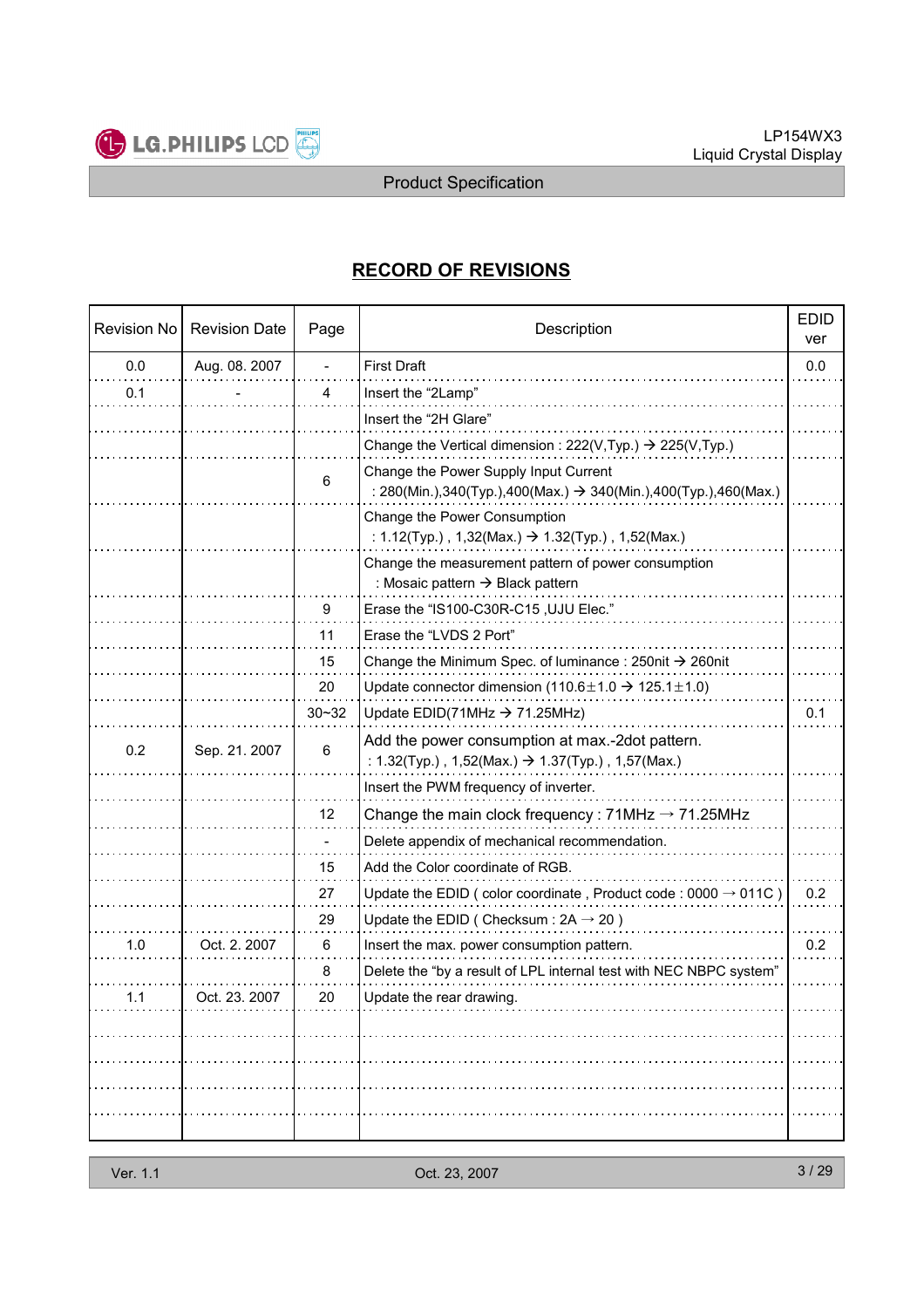

# RECORD OF REVISIONS

| <b>Revision No</b> | <b>Revision Date</b> | Page           | Description                                                                                                                |     |
|--------------------|----------------------|----------------|----------------------------------------------------------------------------------------------------------------------------|-----|
| 0.0                | Aug. 08. 2007        | $\frac{1}{2}$  | <b>First Draft</b>                                                                                                         | 0.0 |
| 0.1                |                      | $\overline{4}$ | Insert the "2Lamp"                                                                                                         |     |
|                    |                      |                | Insert the "2H Glare"                                                                                                      |     |
|                    |                      |                | Change the Vertical dimension : 222(V, Typ.) $\rightarrow$ 225(V, Typ.)                                                    |     |
|                    |                      | 6              | Change the Power Supply Input Current<br>: 280(Min.),340(Typ.),400(Max.) $\rightarrow$ 340(Min.),400(Typ.),460(Max.)       |     |
|                    |                      |                | Change the Power Consumption<br>: 1.12(Typ.), 1,32(Max.) $\rightarrow$ 1.32(Typ.), 1,52(Max.)                              |     |
|                    |                      |                | Change the measurement pattern of power consumption<br>: Mosaic pattern $\rightarrow$ Black pattern                        |     |
|                    |                      | 9              | Erase the "IS100-C30R-C15, UJU Elec."                                                                                      |     |
|                    |                      | 11             | Erase the "LVDS 2 Port"                                                                                                    |     |
|                    |                      | 15             | Change the Minimum Spec. of luminance: $250$ nit $\rightarrow$ 260nit                                                      |     |
|                    |                      | 20             | Update connector dimension (110.6 $\pm$ 1.0 $\rightarrow$ 125.1 $\pm$ 1.0)                                                 |     |
|                    |                      | $30 - 32$      | Update EDID(71MHz $\rightarrow$ 71.25MHz)                                                                                  | 0.1 |
| 0.2                | Sep. 21. 2007        | 6              | Add the power consumption at max.-2dot pattern.<br>: $1.32$ (Typ.), $1,52$ (Max.) $\rightarrow 1.37$ (Typ.), $1,57$ (Max.) |     |
|                    |                      |                | Insert the PWM frequency of inverter.                                                                                      |     |
|                    |                      | 12             | Change the main clock frequency: $71MHz \rightarrow 71.25MHz$                                                              |     |
|                    |                      |                | Delete appendix of mechanical recommendation.                                                                              |     |
|                    |                      | 15             | Add the Color coordinate of RGB.                                                                                           |     |
|                    |                      | 27             | Update the EDID (color coordinate, Product code: $0000 \rightarrow 011C$ )                                                 | 0.2 |
|                    |                      | 29             | Update the EDID (Checksum: $2A \rightarrow 20$ )                                                                           |     |
| 1.0                | Oct. 2. 2007         | 6              | Insert the max. power consumption pattern.                                                                                 | 0.2 |
|                    |                      | 8              | Delete the "by a result of LPL internal test with NEC NBPC system"                                                         |     |
| 1.1                | Oct. 23. 2007        | 20             | Update the rear drawing.                                                                                                   |     |
|                    |                      |                |                                                                                                                            |     |
|                    |                      |                |                                                                                                                            |     |
|                    |                      |                |                                                                                                                            |     |
|                    |                      |                |                                                                                                                            |     |
|                    |                      |                |                                                                                                                            |     |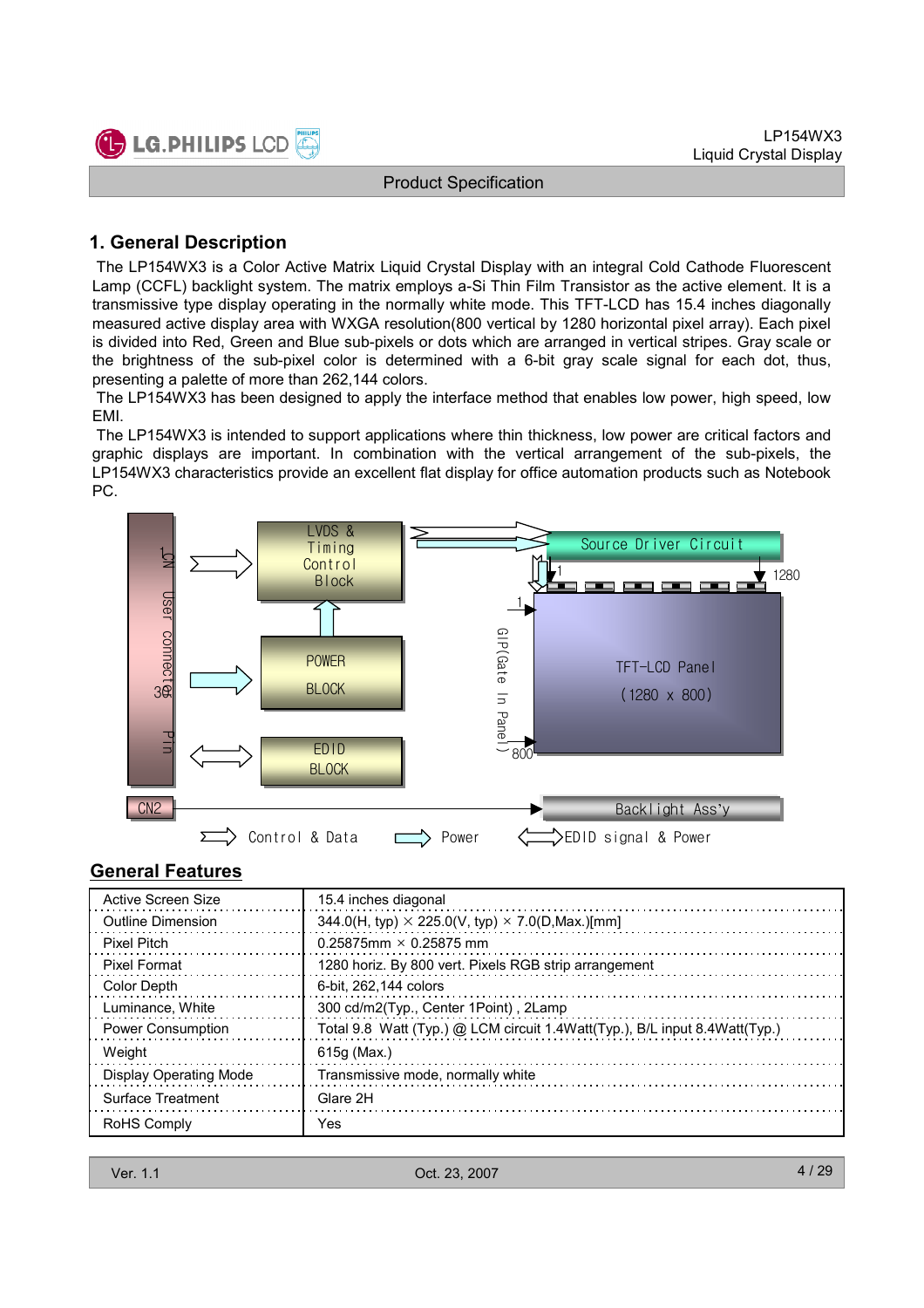

#### 1. General Description

The LP154WX3 is a Color Active Matrix Liquid Crystal Display with an integral Cold Cathode Fluorescent Lamp (CCFL) backlight system. The matrix employs a-Si Thin Film Transistor as the active element. It is a transmissive type display operating in the normally white mode. This TFT-LCD has 15.4 inches diagonally measured active display area with WXGA resolution(800 vertical by 1280 horizontal pixel array). Each pixel is divided into Red, Green and Blue sub-pixels or dots which are arranged in vertical stripes. Gray scale or the brightness of the sub-pixel color is determined with a 6-bit gray scale signal for each dot, thus, presenting a palette of more than 262,144 colors.

The LP154WX3 has been designed to apply the interface method that enables low power, high speed, low EMI.

The LP154WX3 is intended to support applications where thin thickness, low power are critical factors and graphic displays are important. In combination with the vertical arrangement of the sub-pixels, the LP154WX3 characteristics provide an excellent flat display for office automation products such as Notebook PC.



#### General Features

| Active Screen Size            | 15.4 inches diagonal                                                       |
|-------------------------------|----------------------------------------------------------------------------|
| Outline Dimension             | 344.0(H, typ) $\times$ 225.0(V, typ) $\times$ 7.0(D, Max.)[mm]             |
| <b>Pixel Pitch</b>            | 0.25875mm $\times$ 0.25875 mm                                              |
| <b>Pixel Format</b>           | 1280 horiz. By 800 vert. Pixels RGB strip arrangement                      |
| <b>Color Depth</b>            | 6-bit. 262.144 colors                                                      |
| Luminance, White              | 300 cd/m2(Typ., Center 1Point), 2Lamp                                      |
| <b>Power Consumption</b>      | Total 9.8 Watt (Typ.) @ LCM circuit 1.4Watt(Typ.), B/L input 8.4Watt(Typ.) |
| Weight                        | 615g (Max.)                                                                |
| <b>Display Operating Mode</b> | Transmissive mode, normally white                                          |
| Surface Treatment             | Glare 2H                                                                   |
| RoHS Comply                   | Yes                                                                        |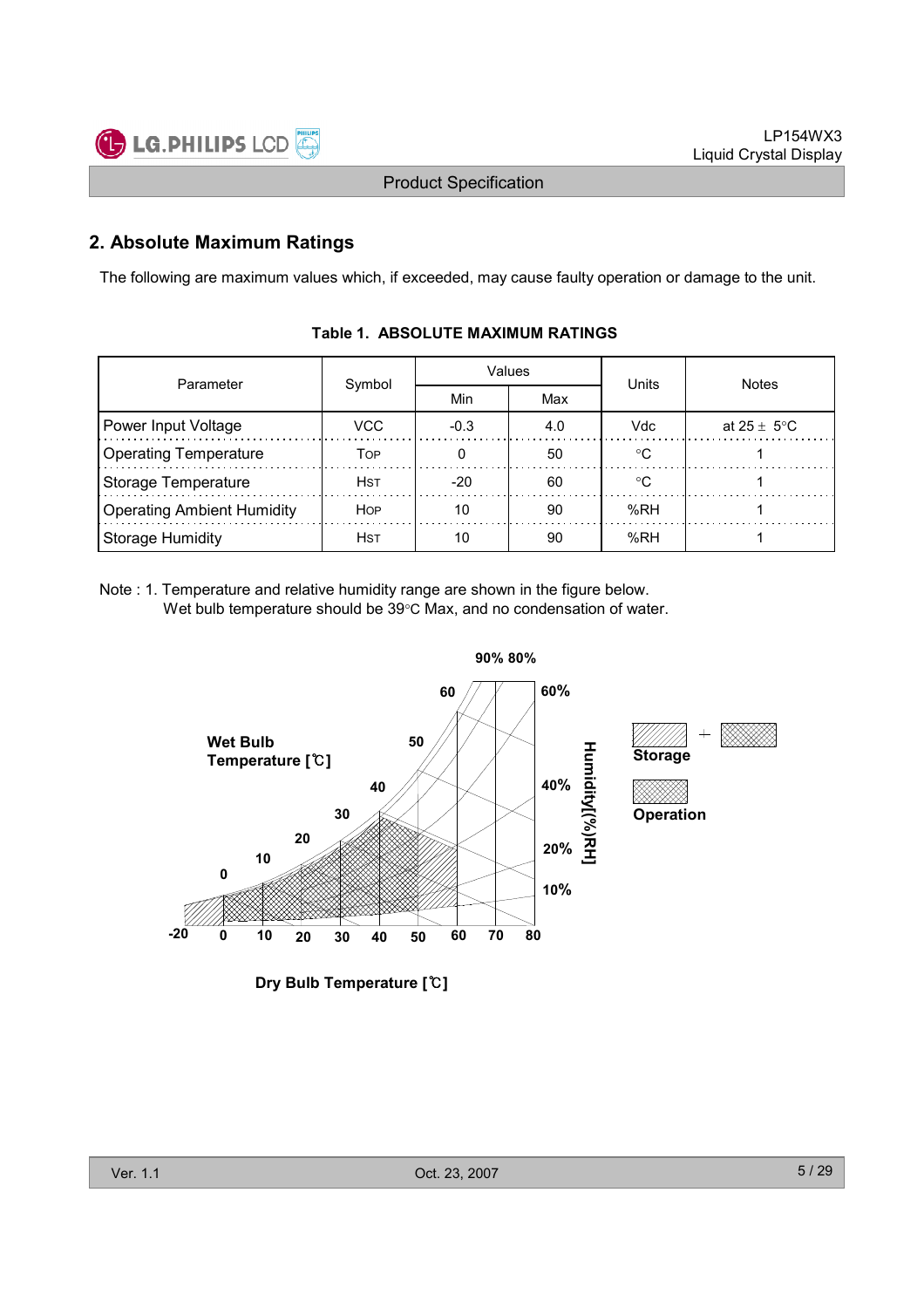

### 2. Absolute Maximum Ratings

The following are maximum values which, if exceeded, may cause faulty operation or damage to the unit.

| Parameter                         | Values      |            |     | Units      | <b>Notes</b>    |  |
|-----------------------------------|-------------|------------|-----|------------|-----------------|--|
|                                   | Symbol      | Min<br>Max |     |            |                 |  |
| Power Input Voltage               | VCC.        | $-0.3$     | 4.0 | <b>Vdc</b> | at 25 $\pm$ 5°C |  |
| <b>Operating Temperature</b>      | Тов         |            | 50  | ം          |                 |  |
| Storage Temperature               | Hst         | $-20$      | 60  | ∘∩         |                 |  |
| <b>Operating Ambient Humidity</b> | <b>HOP</b>  | 10         | 90  | %RH        |                 |  |
| <b>Storage Humidity</b>           | <b>H</b> st | 10         | 90  | %RH        |                 |  |

#### Table 1. ABSOLUTE MAXIMUM RATINGS

Note : 1. Temperature and relative humidity range are shown in the figure below. Wet bulb temperature should be 39°C Max, and no condensation of water.



Dry Bulb Temperature [℃]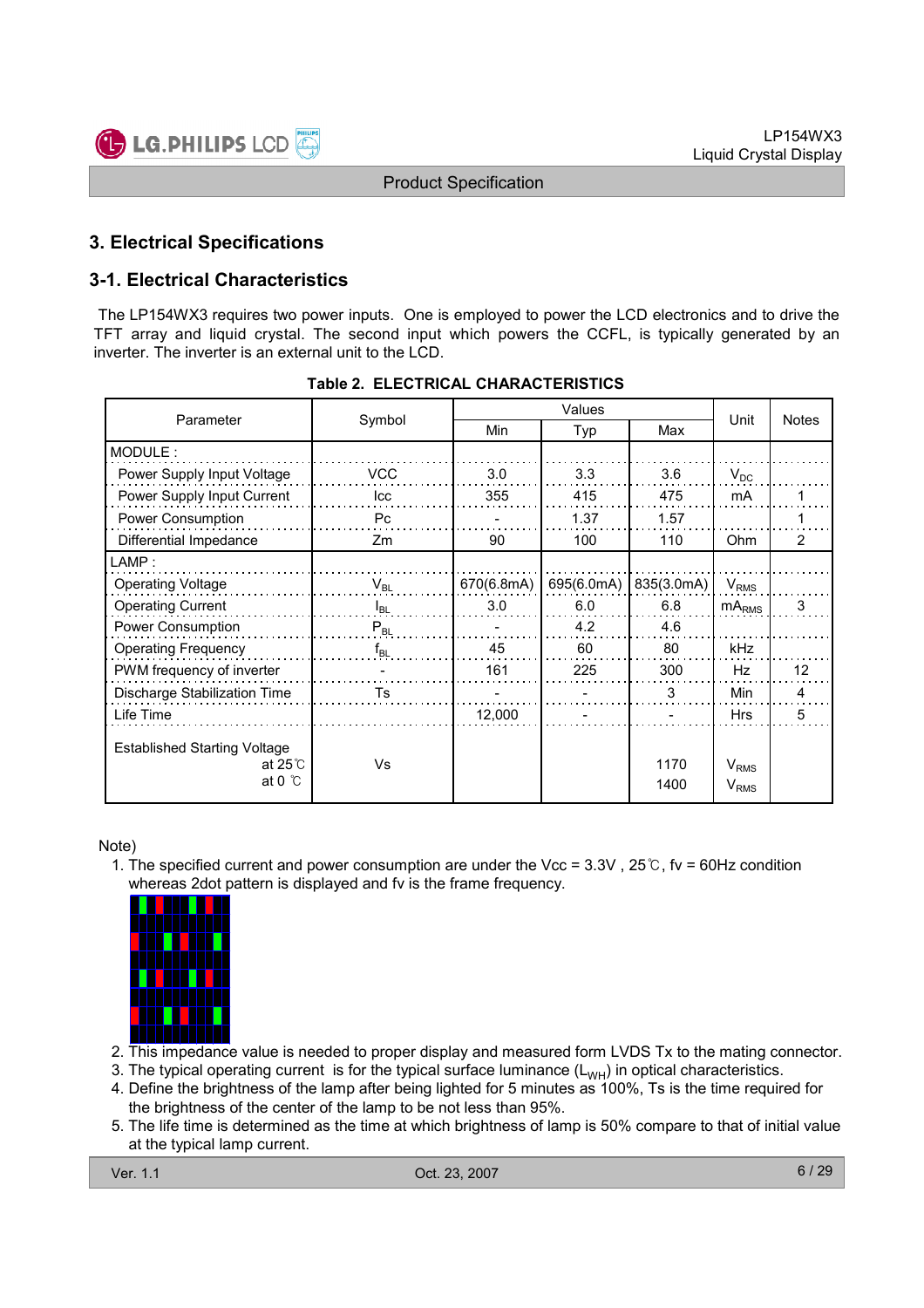

### 3. Electrical Specifications

### 3-1. Electrical Characteristics

The LP154WX3 requires two power inputs. One is employed to power the LCD electronics and to drive the TFT array and liquid crystal. The second input which powers the CCFL, is typically generated by an inverter. The inverter is an external unit to the LCD.

|                                                                          |            |            | Values     |              |                        |    |
|--------------------------------------------------------------------------|------------|------------|------------|--------------|------------------------|----|
| Parameter                                                                | Symbol     | Min        | Typ        | Max          | <b>Notes</b><br>Unit   |    |
| MODULE:                                                                  |            |            |            |              |                        |    |
| Power Supply Input Voltage                                               | <b>VCC</b> | 3.0        | 3.3        | 3.6          | $V_{DC}$               |    |
| Power Supply Input Current                                               | Icc        | 355        | 415        | 475          | mA                     |    |
| Power Consumption                                                        | Pc         |            | 1.37       | 1.57         |                        |    |
| Differential Impedance                                                   | Zm         | 90         | 100        | 110          | <b>Ohm</b>             | 2  |
| $\mathsf{LAMP}$ :                                                        |            |            |            |              |                        |    |
| <b>Operating Voltage</b>                                                 | $V_{BL}$   | 670(6.8mA) | 695(6.0mA) | 835(3.0mA)   | $V_{RMS}$              |    |
| <b>Operating Current</b>                                                 | $I_{BL}$   | 3.0        | 6.0        | 6.8          | $mA_{RMS}$             | 3  |
| Power Consumption                                                        | $P_{BL}$   |            | 4.2        | 4.6          |                        |    |
| <b>Operating Frequency</b>                                               | $f_{BL}$   | 45         | 60         | 80           | kHz                    |    |
| PWM frequency of inverter                                                |            | 161        | 225        | 300          | Hz                     | 12 |
| Discharge Stabilization Time                                             | Ts         |            |            | 3            | <b>Min</b>             | 4  |
| Life Time                                                                |            | 12,000     |            |              | <b>Hrs</b>             | 5  |
| <b>Established Starting Voltage</b><br>at $25^\circ$<br>at 0 $\degree$ C | Vs         |            |            | 1170<br>1400 | $V_{RMS}$<br>$V_{RMS}$ |    |

#### Table 2. ELECTRICAL CHARACTERISTICS

Note)

1. The specified current and power consumption are under the Vcc = 3.3V , 25℃, fv = 60Hz condition whereas 2dot pattern is displayed and fv is the frame frequency.



- 2. This impedance value is needed to proper display and measured form LVDS Tx to the mating connector.
- 3. The typical operating current is for the typical surface luminance  $(L_{WH})$  in optical characteristics.
- 4. Define the brightness of the lamp after being lighted for 5 minutes as 100%, Ts is the time required for the brightness of the center of the lamp to be not less than 95%.
- 5. The life time is determined as the time at which brightness of lamp is 50% compare to that of initial value at the typical lamp current.

Ver. 1.1 Oct. 23, 2007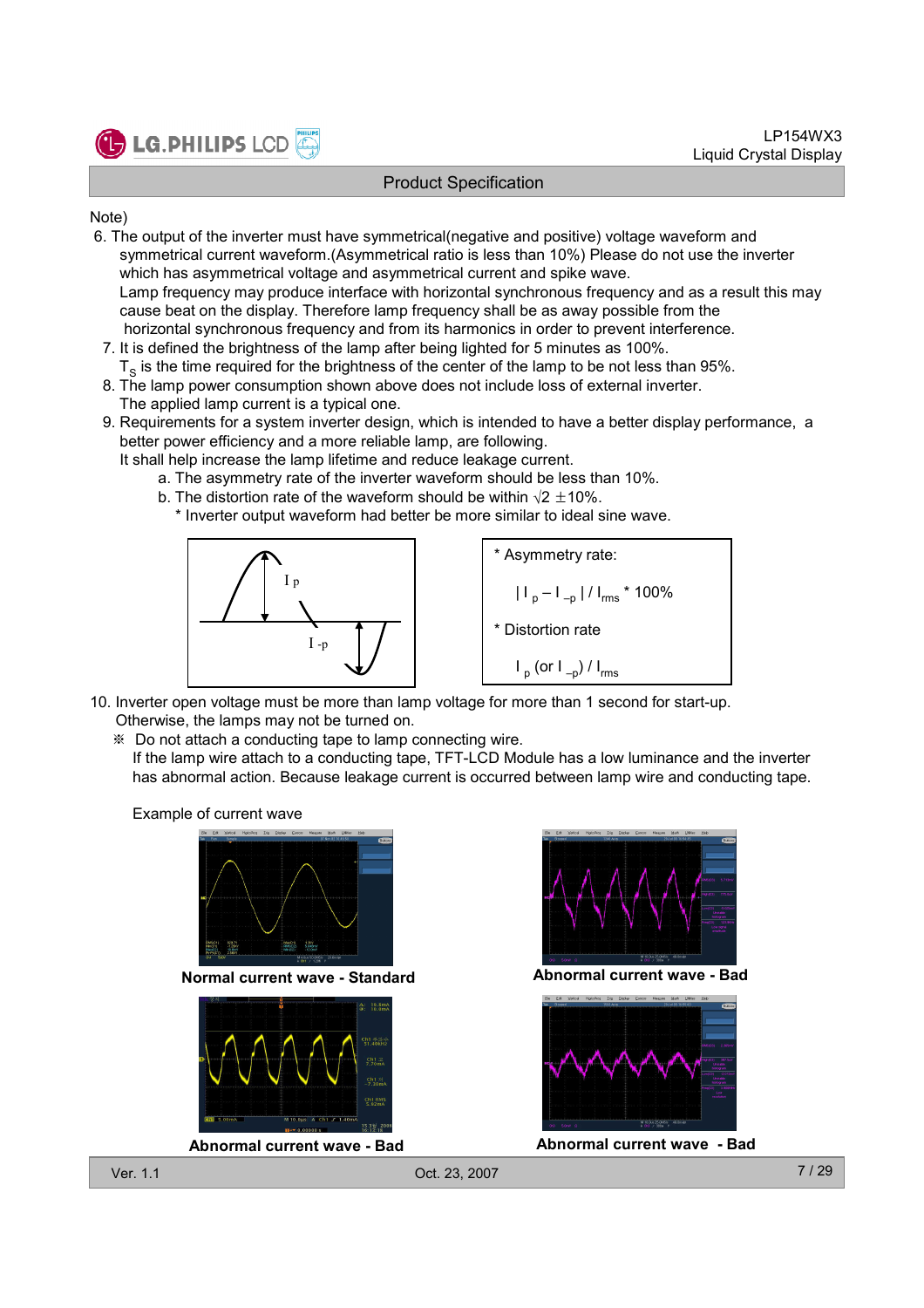

#### Note)

- 6. The output of the inverter must have symmetrical(negative and positive) voltage waveform and symmetrical current waveform.(Asymmetrical ratio is less than 10%) Please do not use the inverter which has asymmetrical voltage and asymmetrical current and spike wave. Lamp frequency may produce interface with horizontal synchronous frequency and as a result this may cause beat on the display. Therefore lamp frequency shall be as away possible from the horizontal synchronous frequency and from its harmonics in order to prevent interference.
- 7. It is defined the brightness of the lamp after being lighted for 5 minutes as 100%.  ${\tt T_S}$  is the time required for the brightness of the center of the lamp to be not less than 95%.
- 8. The lamp power consumption shown above does not include loss of external inverter. The applied lamp current is a typical one.
- 9. Requirements for a system inverter design, which is intended to have a better display performance, a better power efficiency and a more reliable lamp, are following.
	- It shall help increase the lamp lifetime and reduce leakage current.
		- a. The asymmetry rate of the inverter waveform should be less than 10%.
		- b. The distortion rate of the waveform should be within  $\sqrt{2} \pm 10\%$ . \* Inverter output waveform had better be more similar to ideal sine wave.





- 10. Inverter open voltage must be more than lamp voltage for more than 1 second for start-up. Otherwise, the lamps may not be turned on.
	- ※ Do not attach a conducting tape to lamp connecting wire.
		- If the lamp wire attach to a conducting tape, TFT-LCD Module has a low luminance and the inverter has abnormal action. Because leakage current is occurred between lamp wire and conducting tape.

Example of current wave



Normal current wave - Standard Abnormal current wave - Bad



Abnormal current wave - Bad Abnormal current wave - Bad



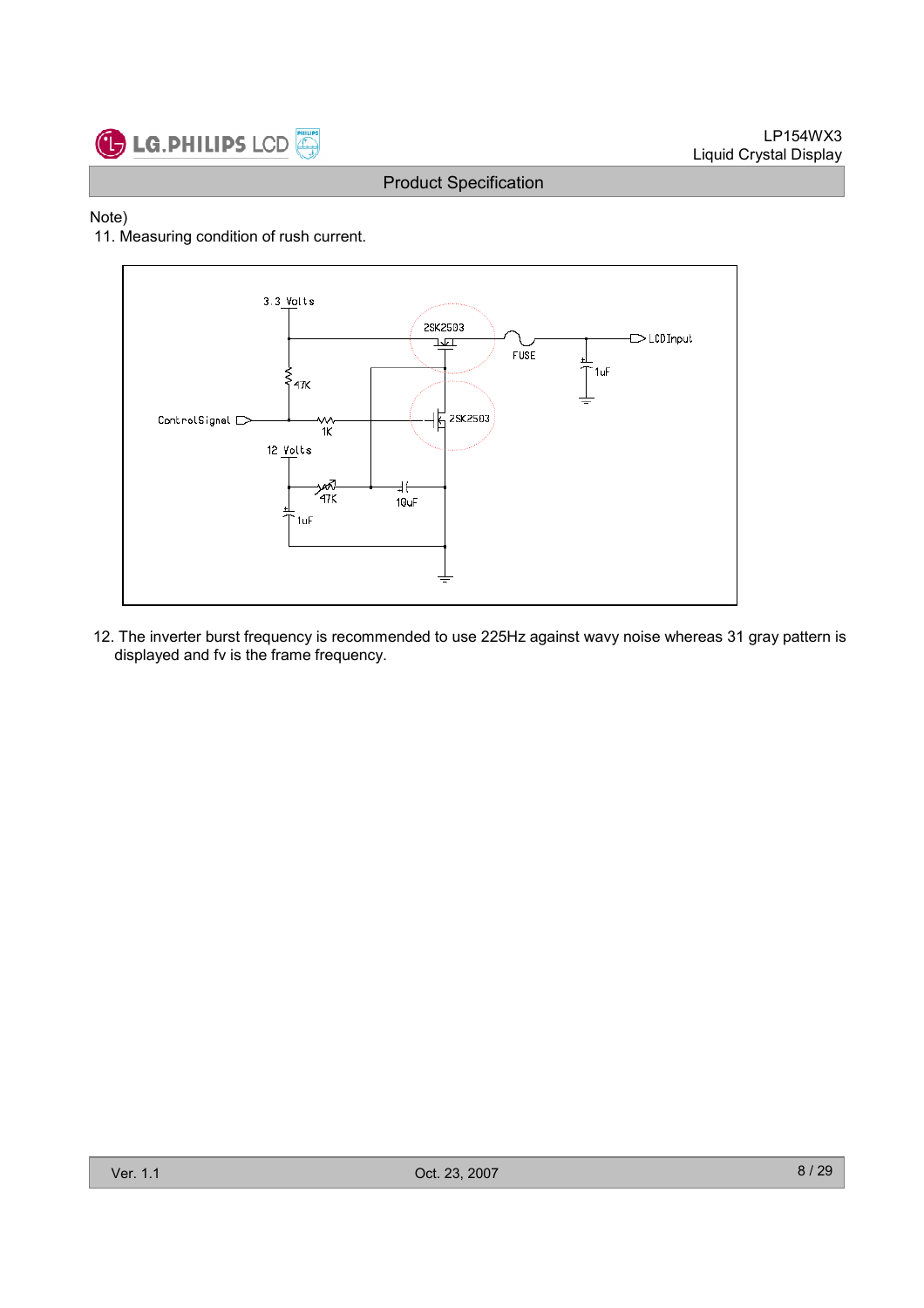

#### Note)

#### 11. Measuring condition of rush current.



12. The inverter burst frequency is recommended to use 225Hz against wavy noise whereas 31 gray pattern is displayed and fv is the frame frequency.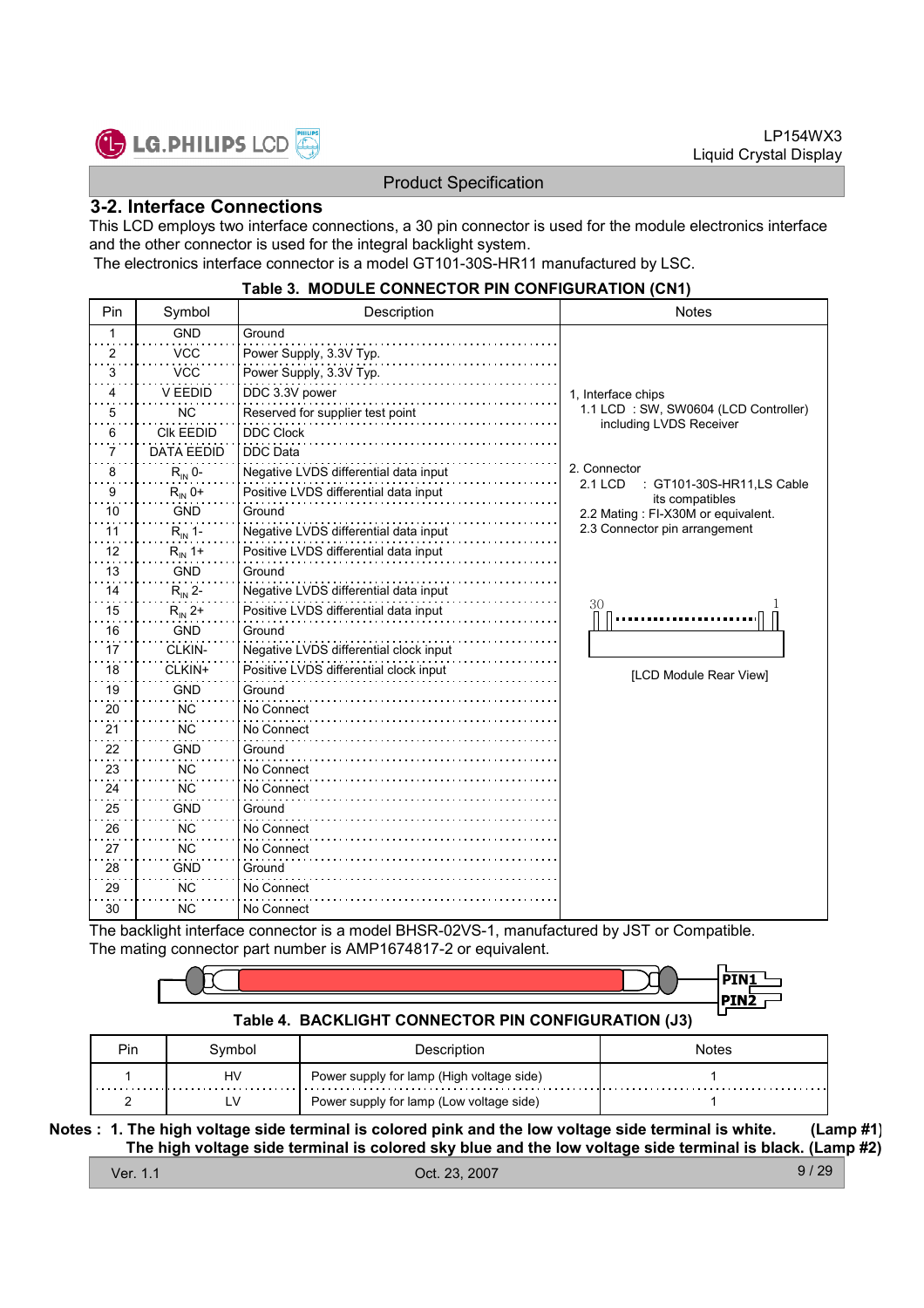

#### 3-2. Interface Connections

This LCD employs two interface connections, a 30 pin connector is used for the module electronics interface and the other connector is used for the integral backlight system.

The electronics interface connector is a model GT101-30S-HR11 manufactured by LSC.

#### Table 3. MODULE CONNECTOR PIN CONFIGURATION (CN1)

| Pin | Symbol             | Description                            | <b>Notes</b>                                          |
|-----|--------------------|----------------------------------------|-------------------------------------------------------|
| 1   | <b>GND</b>         | Ground                                 |                                                       |
| 2   | <b>VCC</b>         | Power Supply, 3.3V Typ.                |                                                       |
| 3   | <b>VCC</b>         | Power Supply, 3.3V Typ.                |                                                       |
| 4   | V EEDID            | DDC 3.3V power                         | 1, Interface chips                                    |
| 5   | <b>NC</b>          | Reserved for supplier test point       | 1.1 LCD: SW, SW0604 (LCD Controller)                  |
| 6   | <b>CIK EEDID</b>   | <b>DDC Clock</b>                       | including LVDS Receiver                               |
| 7   | <b>DATA EEDID</b>  | <b>DDC</b> Data                        |                                                       |
| 8   | $R_{IN}$ 0-        | Negative LVDS differential data input  | 2. Connector                                          |
| 9   | $R_{IN}$ 0+        | Positive LVDS differential data input  | GT101-30S-HR11,LS Cable<br>2.1 LCD<br>its compatibles |
| 10  | <b>GND</b>         | Ground                                 | 2.2 Mating: FI-X30M or equivalent.                    |
| 11  | $R_{\rm IN}$ 1-    | Negative LVDS differential data input  | 2.3 Connector pin arrangement                         |
| 12  | $R_{IN}$ 1+        | Positive LVDS differential data input  |                                                       |
| 13  | <b>GND</b>         | Ground                                 |                                                       |
| 14  | $R_{\text{IN}}$ 2- | Negative LVDS differential data input  |                                                       |
| 15  | $R_{IN}$ 2+        | Positive LVDS differential data input  | 30                                                    |
| 16  | <b>GND</b>         | Ground                                 |                                                       |
| 17  | CLKIN-             | Negative LVDS differential clock input |                                                       |
| 18  | CLKIN+             | Positive LVDS differential clock input | [LCD Module Rear View]                                |
| 19  | <b>GND</b>         | Ground                                 |                                                       |
| 20  | ΝC                 | No Connect                             |                                                       |
| 21  | <b>NC</b>          | No Connect                             |                                                       |
| 22  | <b>GND</b>         | Ground                                 |                                                       |
| 23  | <b>NC</b>          | No Connect                             |                                                       |
| 24  | <b>NC</b>          | No Connect                             |                                                       |
| 25  | <b>GND</b>         | Ground                                 |                                                       |
| 26  | <b>NC</b>          | No Connect                             |                                                       |
| 27  | <b>NC</b>          | No Connect                             |                                                       |
| 28  | <b>GND</b>         | Ground                                 |                                                       |
| 29  | <b>NC</b>          | No Connect                             |                                                       |
| 30  | <b>NC</b>          | No Connect                             |                                                       |

The backlight interface connector is a model BHSR-02VS-1, manufactured by JST or Compatible. The mating connector part number is AMP1674817-2 or equivalent.

#### Table 4. BACKLIGHT CONNECTOR PIN CONFIGURATION (J3)

| Pin | Svmbol | Description                               | Notes |
|-----|--------|-------------------------------------------|-------|
|     | HV     | Power supply for lamp (High voltage side) |       |
|     |        | Power supply for lamp (Low voltage side)  |       |

Notes : 1. The high voltage side terminal is colored pink and the low voltage side terminal is white. (Lamp #1) The high voltage side terminal is colored sky blue and the low voltage side terminal is black. (Lamp #2)

Ver. 1.1 Oct. 23, 2007

9 / 29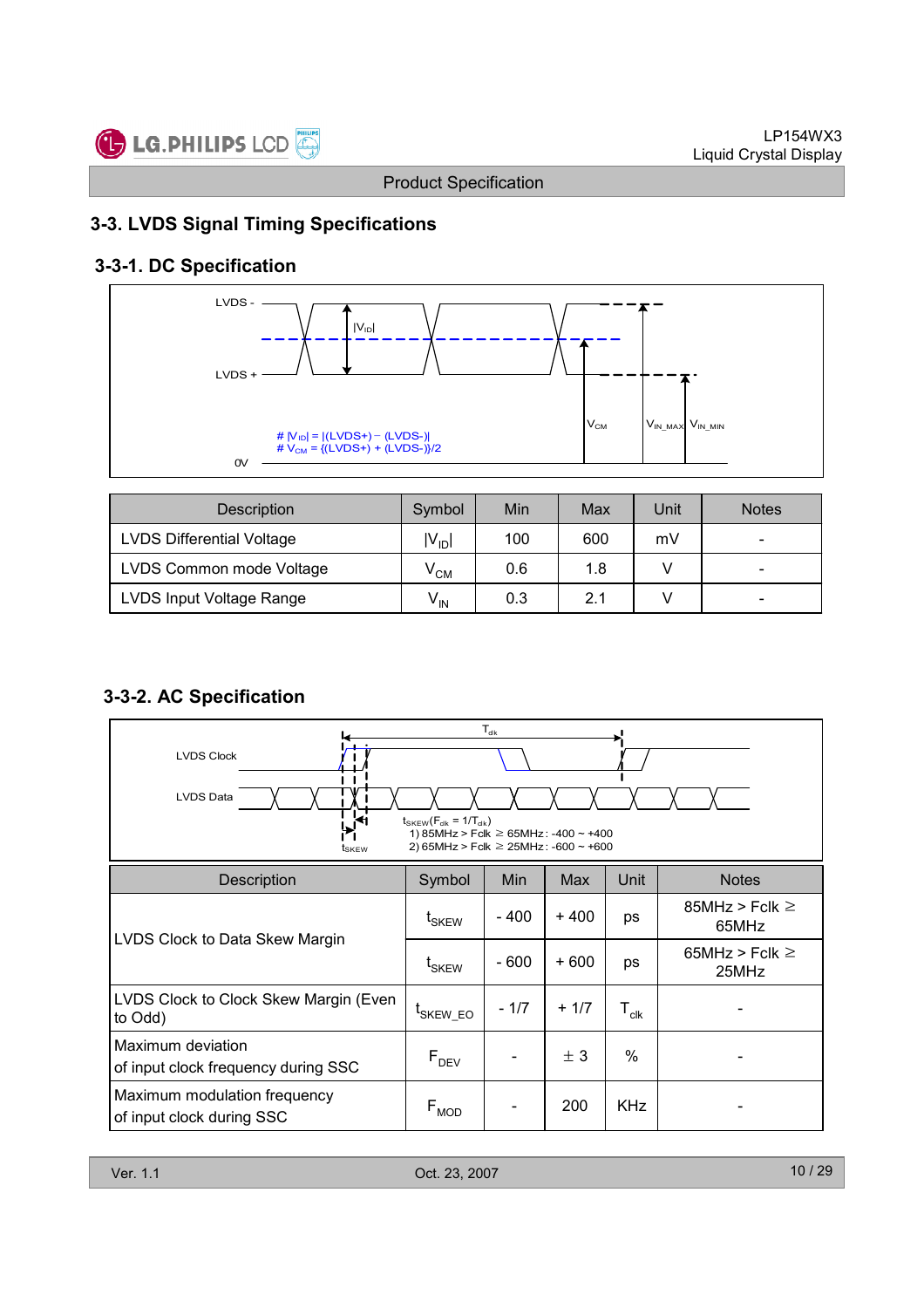

### 3-3. LVDS Signal Timing Specifications

# 3-3-1. DC Specification



| <b>Description</b>               | Symbol          | Min | Max | Unit | <b>Notes</b>             |
|----------------------------------|-----------------|-----|-----|------|--------------------------|
| <b>LVDS Differential Voltage</b> | $ V_{ID} $      | 100 | 600 | mV   | $\overline{\phantom{0}}$ |
| LVDS Common mode Voltage         | $V^{\text{CM}}$ | 0.6 | 1.8 |      | $\overline{\phantom{0}}$ |
| LVDS Input Voltage Range         | $V_{\text{IN}}$ | 0.3 | 2.1 |      | $\overline{\phantom{0}}$ |

### 3-3-2. AC Specification

| $T_{\sf dk}$<br><b>LVDS Clock</b><br><b>LVDS Data</b><br>$\mu$ <sup>41</sup><br>$t_{SKEW}(F_{dk} = 1/T_{dk})$<br>1) 85MHz > Fclk $\geq$ 65MHz: -400 ~ +400<br>2) 65MHz > Fclk $\geq$ 25MHz: -600 $\sim$ +600<br>tskew |                                      |        |        |                             |                              |  |  |  |
|-----------------------------------------------------------------------------------------------------------------------------------------------------------------------------------------------------------------------|--------------------------------------|--------|--------|-----------------------------|------------------------------|--|--|--|
| <b>Description</b>                                                                                                                                                                                                    | Symbol                               | Min    | Max    | Unit                        | <b>Notes</b>                 |  |  |  |
|                                                                                                                                                                                                                       | t <sub>SKEW</sub>                    | - 400  | $+400$ | ps                          | 85MHz > Fclk $\geq$<br>65MHz |  |  |  |
| LVDS Clock to Data Skew Margin                                                                                                                                                                                        | $\textnormal{t}_{\textnormal{SKEW}}$ | $-600$ | $+600$ | ps                          | 65MHz > Fclk $\geq$<br>25MHz |  |  |  |
| LVDS Clock to Clock Skew Margin (Even<br>to Odd)                                                                                                                                                                      | <sup>L</sup> SKEW_EO                 | $-1/7$ | $+1/7$ | $\mathsf{T}_{\mathsf{clk}}$ |                              |  |  |  |
| Maximum deviation<br>of input clock frequency during SSC                                                                                                                                                              | $F_{DEV}$                            |        | ± 3    | $\%$                        |                              |  |  |  |
| Maximum modulation frequency<br>of input clock during SSC                                                                                                                                                             | $\mathsf{F}_{\mathsf{MOD}}$          |        | 200    | <b>KHz</b>                  |                              |  |  |  |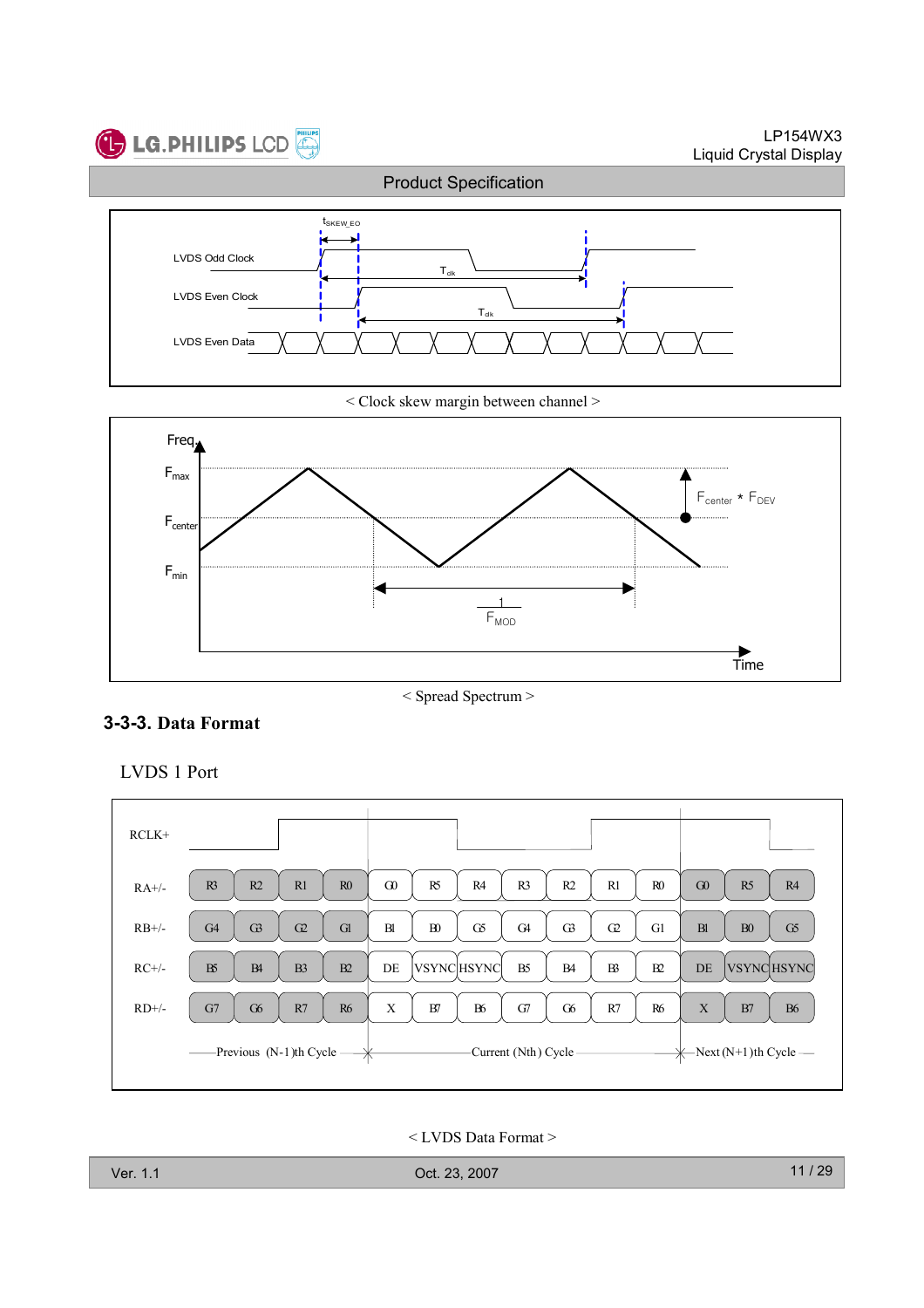

< Clock skew margin between channel >



< Spread Spectrum >

### 3-3-3. Data Format





< LVDS Data Format >

| Ver. 1.1 | Oct. 23, 2007 |
|----------|---------------|
|----------|---------------|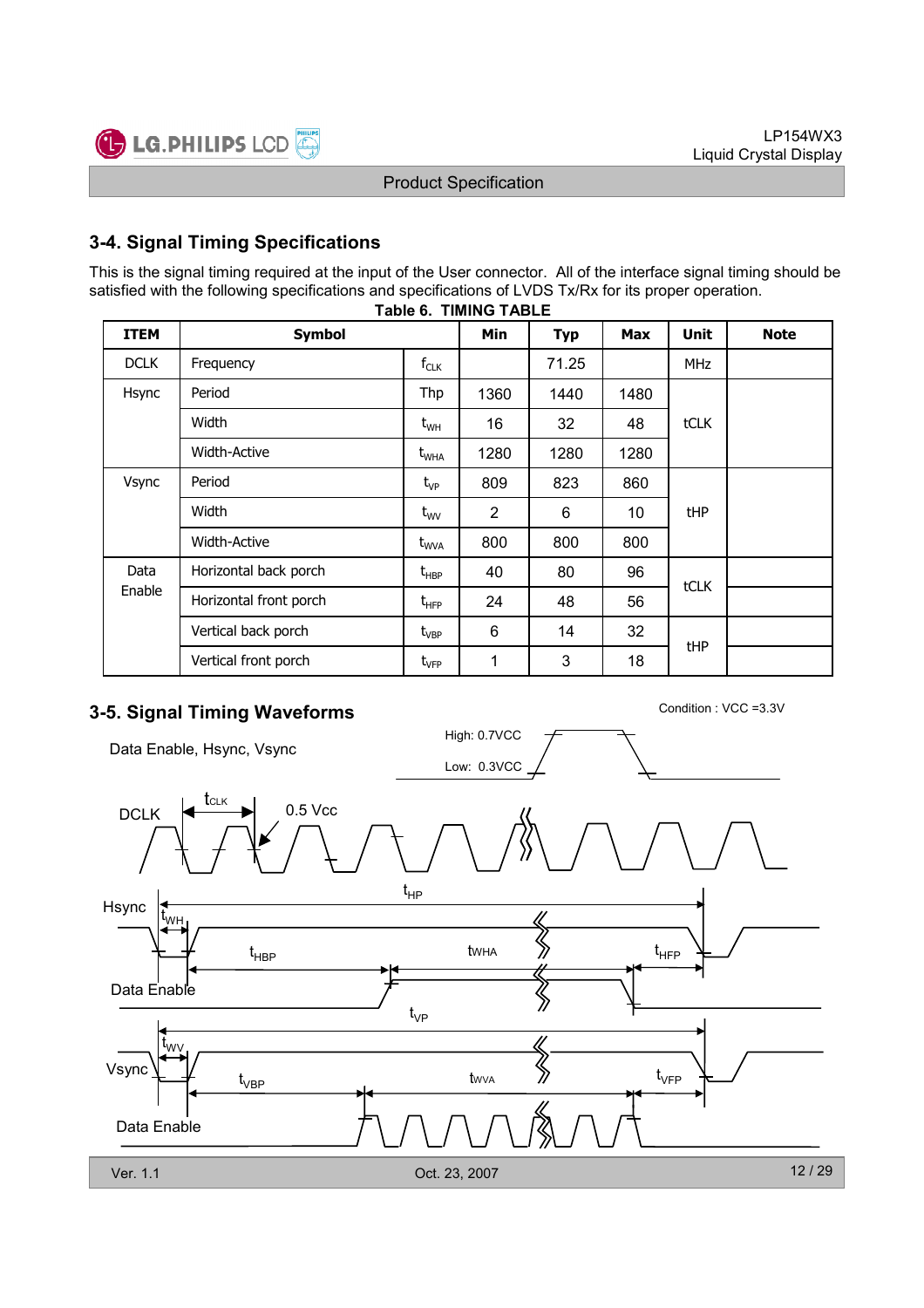

### 3-4. Signal Timing Specifications

This is the signal timing required at the input of the User connector. All of the interface signal timing should be satisfied with the following specifications and specifications of LVDS Tx/Rx for its proper operation.

| <b>ITEM</b> | <b>Symbol</b>          |                    | Min            | <b>Typ</b> | <b>Max</b> | <b>Unit</b> | <b>Note</b> |  |
|-------------|------------------------|--------------------|----------------|------------|------------|-------------|-------------|--|
| <b>DCLK</b> | Frequency              | $f_{CLK}$          |                | 71.25      |            | <b>MHz</b>  |             |  |
| Hsync       | Period                 | Thp                | 1360           | 1440       | 1480       |             |             |  |
|             | Width                  | $t_{WH}$           | 16             | 32         | 48         | tCLK        |             |  |
|             | <b>Width-Active</b>    | t <sub>wha</sub>   | 1280           | 1280       | 1280       |             |             |  |
| Vsync       | Period                 | $t_{VP}$           | 809            | 823        | 860        |             |             |  |
|             | Width                  | $t_{\text{WV}}$    | $\overline{2}$ | 6          | 10         | <b>tHP</b>  |             |  |
|             | <b>Width-Active</b>    | $t_{\text{WVA}}$   | 800            | 800        | 800        |             |             |  |
| Data        | Horizontal back porch  | $t_{\sf HBP}$      | 40             | 80         | 96         | tCLK        |             |  |
| Enable      | Horizontal front porch | $t_{\text{HFP}}$   | 24             | 48         | 56         |             |             |  |
|             | Vertical back porch    | $t_{\mathsf{VBP}}$ | 6              | 14         | 32         |             |             |  |
|             | Vertical front porch   | $t_{\rm VFP}$      | 1              | 3          | 18         | tHP         |             |  |

#### Table 6. TIMING TABLE

# 3-5. Signal Timing Waveforms Condition : VCC =3.3V

Data Enable, Hsync, Vsync



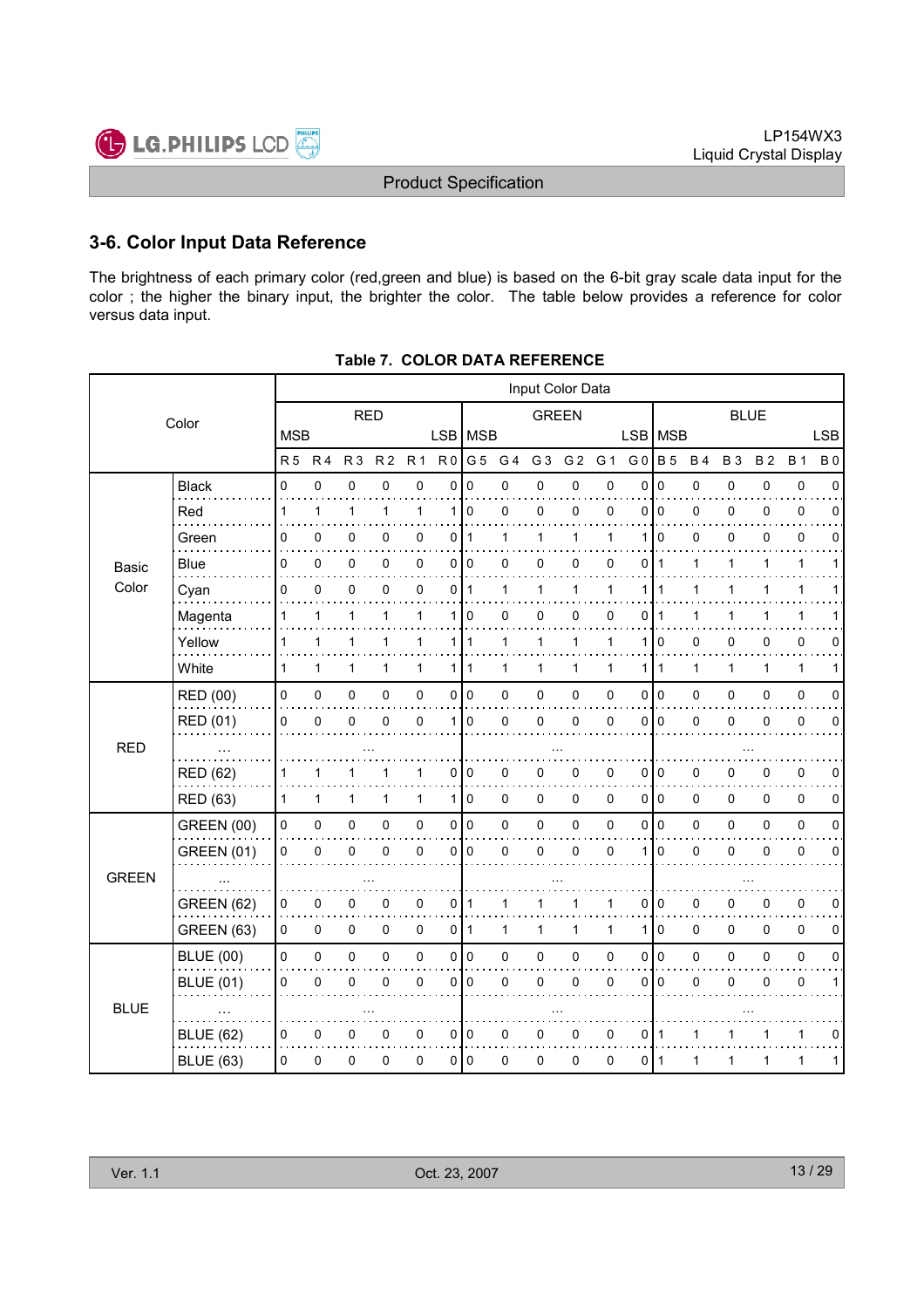

### 3-6. Color Input Data Reference

The brightness of each primary color (red,green and blue) is based on the 6-bit gray scale data input for the color ; the higher the binary input, the brighter the color. The table below provides a reference for color versus data input.

|                   |                |                |                |                | Input Color Data    |   |                |                                                                                                                                                               |                |                |              |                |                |                                                       |              |              |              |             |
|-------------------|----------------|----------------|----------------|----------------|---------------------|---|----------------|---------------------------------------------------------------------------------------------------------------------------------------------------------------|----------------|----------------|--------------|----------------|----------------|-------------------------------------------------------|--------------|--------------|--------------|-------------|
| Color             |                |                |                |                |                     |   |                |                                                                                                                                                               |                |                |              |                |                |                                                       |              |              |              |             |
|                   |                |                |                |                |                     |   |                |                                                                                                                                                               |                |                |              |                |                |                                                       |              |              |              | <b>LSB</b>  |
|                   | R <sub>5</sub> | R <sub>4</sub> | R <sub>3</sub> | R <sub>2</sub> | <b>R1</b>           |   | G <sub>5</sub> | G 4                                                                                                                                                           | G <sub>3</sub> | G <sub>2</sub> | G 1          | G <sub>0</sub> | <b>B</b> 5     | <b>B4</b>                                             | <b>B3</b>    | <b>B2</b>    | <b>B</b> 1   | <b>B0</b>   |
| <b>Black</b>      | 0              | 0              | 0              | 0              | 0                   | 0 | 0              | 0                                                                                                                                                             | 0              | 0              | $\mathbf 0$  | 0              | $\mathbf 0$    | 0                                                     | 0            | 0            | 0            | $\mathbf 0$ |
| Red               | $\mathbf{1}$   | 1              | 1              | 1              | $\mathbf{1}$        |   |                | $\Omega$                                                                                                                                                      | $\Omega$       | 0              | $\mathbf{0}$ | $\Omega$       |                | 0                                                     | 0            | 0            | 0            | $\Omega$    |
| Green             | 0              | 0              | 0              | 0              | 0                   |   | $\overline{1}$ | $\mathbf{1}$                                                                                                                                                  | $\mathbf 1$    | $\mathbf{1}$   | 1            | 1              | l 0            | 0                                                     | $\mathbf 0$  | 0            | 0            | $\Omega$    |
| <b>Blue</b>       | 0              | 0              | 0              | 0              | 0                   |   |                | 0                                                                                                                                                             | 0              | 0              | 0            | 0              | $\mathbf{1}$   | 1                                                     | 1            | 1            | 1            | 1           |
| Cyan              | 0              | 0              | $\pmb{0}$      | 0              | $\pmb{0}$           |   | $\mathbf{1}$   | 1                                                                                                                                                             | $\mathbf{1}$   | $\mathbf{1}$   | 1            | 1              | $\mathbf{1}$   | 1                                                     | 1            | 1            | 1            | 1           |
| Magenta           | 1              | 1              | 1              | 1              | 1                   | 1 | $\mathbf 0$    | 0                                                                                                                                                             | 0              | 0              | 0            | 0              | $\mathbf 1$    | 1                                                     | 1            |              | 1            |             |
| Yellow            | $\mathbf{1}$   | 1              | 1              | 1              | $\mathbf{1}$        |   |                | $\mathbf{1}$                                                                                                                                                  | 1              | $\mathbf{1}$   | 1            | 1              | 0              | 0                                                     | 0            | 0            | $\mathbf 0$  | 0           |
| White             | $\mathbf{1}$   | $\mathbf{1}$   | 1              | $\mathbf{1}$   | $\mathbf{1}$        |   |                | $\mathbf{1}$                                                                                                                                                  | $\mathbf{1}$   | $\mathbf{1}$   | $\mathbf{1}$ | 1              | $\overline{1}$ | $\mathbf{1}$                                          | $\mathbf{1}$ | $\mathbf{1}$ | $\mathbf{1}$ | 1           |
| <b>RED (00)</b>   | 0              | 0              | 0              | 0              | $\pmb{0}$           |   |                | 0                                                                                                                                                             | $\pmb{0}$      | $\pmb{0}$      | 0            | 0              |                | 0                                                     | 0            | 0            | $\pmb{0}$    | $\mathbf 0$ |
| RED (01)          | 0              | $\mathbf 0$    | 0              | 0              | 0                   |   | l 0            | 0                                                                                                                                                             | 0              | $\mathbf 0$    | $\mathbf 0$  | $\Omega$       |                | $\mathsf 0$                                           | $\mathbf 0$  | $\mathbf{0}$ | $\mathbf 0$  | $\mathbf 0$ |
|                   |                |                |                |                |                     |   |                |                                                                                                                                                               |                |                |              |                |                |                                                       |              |              |              |             |
| <b>RED (62)</b>   | 1              | 1              | 1              |                | 1                   | 0 | 0              | 0                                                                                                                                                             | 0              | 0              | 0            | 0              |                | 0                                                     | 0            | 0            | 0            | 0           |
| <b>RED (63)</b>   | 1              | $\mathbf{1}$   | 1              | 1              | $\mathbf{1}$        |   |                | 0                                                                                                                                                             | 0              | 0              | 0            |                |                | $\mathbf 0$                                           | 0            | 0            | $\mathbf 0$  | 0           |
| <b>GREEN (00)</b> | 0              | 0              | $\pmb{0}$      | 0              | $\mathsf{O}\xspace$ |   |                | 0                                                                                                                                                             | $\pmb{0}$      | $\pmb{0}$      | 0            | 0              |                | 0                                                     | 0            | 0            | $\pmb{0}$    | 0           |
| <b>GREEN (01)</b> | 0              | $\mathbf 0$    | 0              | 0              | 0                   |   | l 0            | 0                                                                                                                                                             | 0              | $\pmb{0}$      | $\mathbf 0$  | 1              | $\mathbf 0$    | 0                                                     | 0            | 0            | $\pmb{0}$    | $\mathbf 0$ |
|                   |                |                |                |                |                     |   |                |                                                                                                                                                               |                |                |              |                |                |                                                       |              |              |              |             |
| <b>GREEN (62)</b> | 0              | 0              | 0              | 0              | $\pmb{0}$           |   | ∣ 1            | 1                                                                                                                                                             | 1              | 1              | 1            | 0              | l 0            | 0                                                     | 0            | 0            | $\mathbf 0$  | 0           |
| <b>GREEN (63)</b> | 0              | 0              | $\mathsf 0$    | 0              | 0                   |   |                | 1                                                                                                                                                             | $\mathbf{1}$   | 1              | 1            | 1              |                | $\pmb{0}$                                             | 0            | 0            | $\mathbf 0$  | 0           |
| <b>BLUE (00)</b>  | 0              | 0              | $\pmb{0}$      | 0              | $\mathsf 0$         |   |                | 0                                                                                                                                                             | 0              | $\pmb{0}$      | 0            | 0              |                | 0                                                     | 0            | 0            | $\pmb{0}$    | 0           |
| <b>BLUE (01)</b>  | 0              | $\mathbf 0$    | 0              | 0              | 0                   |   | $\mathbf 0$    | 0                                                                                                                                                             | 0              | $\pmb{0}$      | $\mathbf 0$  | 0              | l 0            | 0                                                     | 0            | 0            | 0            | 1           |
|                   |                |                |                |                |                     |   |                |                                                                                                                                                               |                |                |              |                |                |                                                       |              |              |              |             |
| <b>BLUE (62)</b>  | 0              | 0              | 0              | 0              | 0                   |   |                | 0                                                                                                                                                             | 0              | 0              | 0            | 0              | ∣ 1            | 1                                                     |              |              | 1            | 0           |
| <b>BLUE (63)</b>  | $\Omega$       | 0              | 0              | 0              | 0                   |   |                | 0                                                                                                                                                             | 0              | 0              | 0            | 0              |                | 1                                                     | 1            | 1            | 1            | 1           |
|                   |                |                | <b>MSB</b>     |                | <b>RED</b>          |   | 0<br>0         | R <sub>0</sub><br>110<br>$\overline{0}$<br>0 0<br>1   1<br>111<br>0 0<br>1 I<br>110<br>0 0<br>$\overline{0}$<br>$\overline{0}$<br>$0$  1<br>0 0<br>010<br>010 | LSB   MSB      |                | <b>GREEN</b> |                |                | l O<br>0<br>l o<br>۱٥<br>010<br>0<br>l O<br>I٥<br>l 1 | LSB   MSB    |              | <b>BLUE</b>  |             |

| Table 7.  COLOR DATA REFERENCE |
|--------------------------------|
|                                |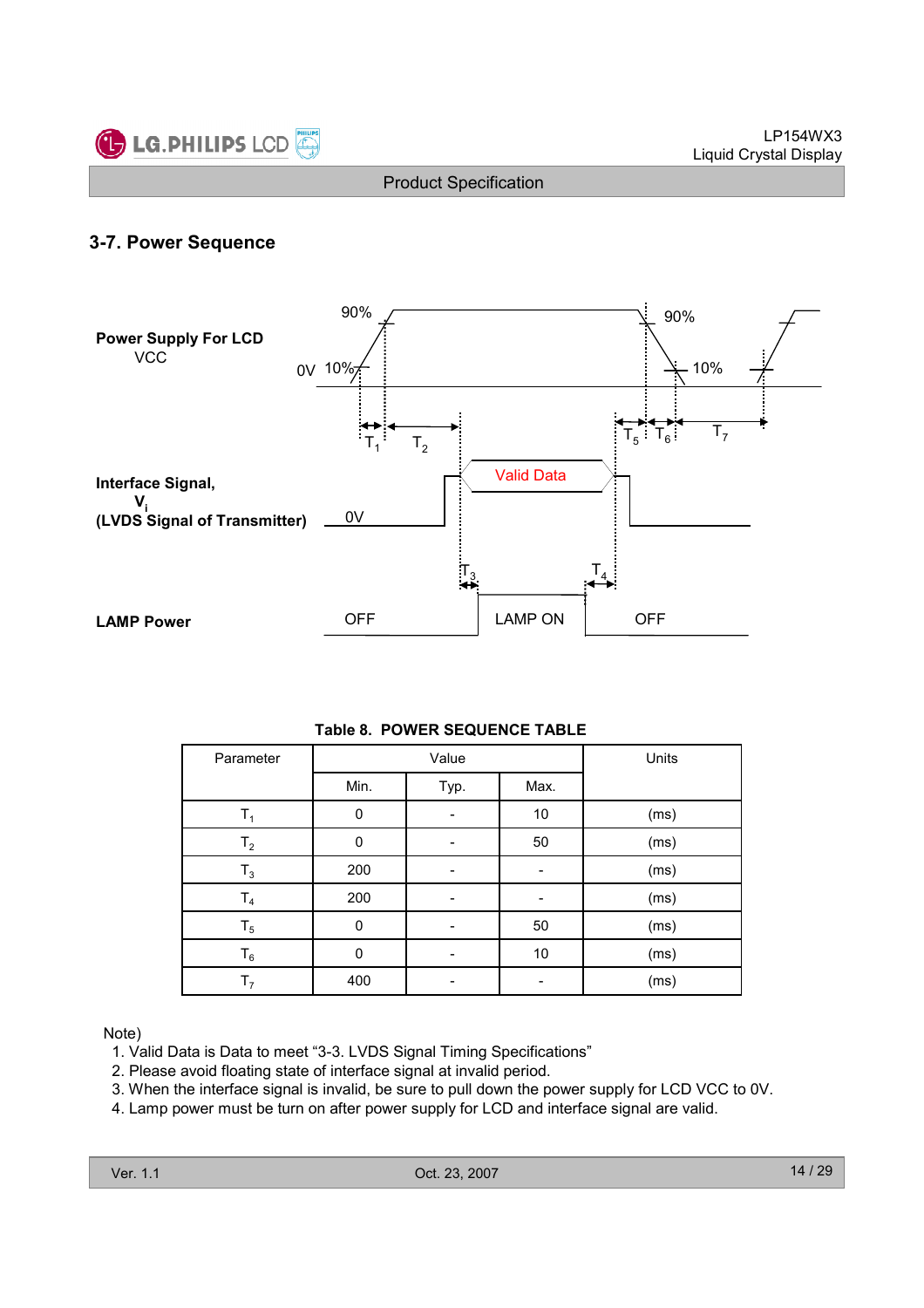

### 3-7. Power Sequence



#### Table 8. POWER SEQUENCE TABLE

| Parameter      |      | Value |      | Units |
|----------------|------|-------|------|-------|
|                | Min. | Typ.  | Max. |       |
| $\mathsf{T}_1$ | 0    |       | 10   | (ms)  |
| T <sub>2</sub> | 0    |       | 50   | (ms)  |
| $T_3$          | 200  |       |      | (ms)  |
| T <sub>4</sub> | 200  |       |      | (ms)  |
| $T_5$          | 0    |       | 50   | (ms)  |
| $T_6$          | 0    |       | 10   | (ms)  |
| T <sub>7</sub> | 400  |       |      | (ms)  |

Note)

- 1. Valid Data is Data to meet "3-3. LVDS Signal Timing Specifications"
- 2. Please avoid floating state of interface signal at invalid period.
- 3. When the interface signal is invalid, be sure to pull down the power supply for LCD VCC to 0V.
- 4. Lamp power must be turn on after power supply for LCD and interface signal are valid.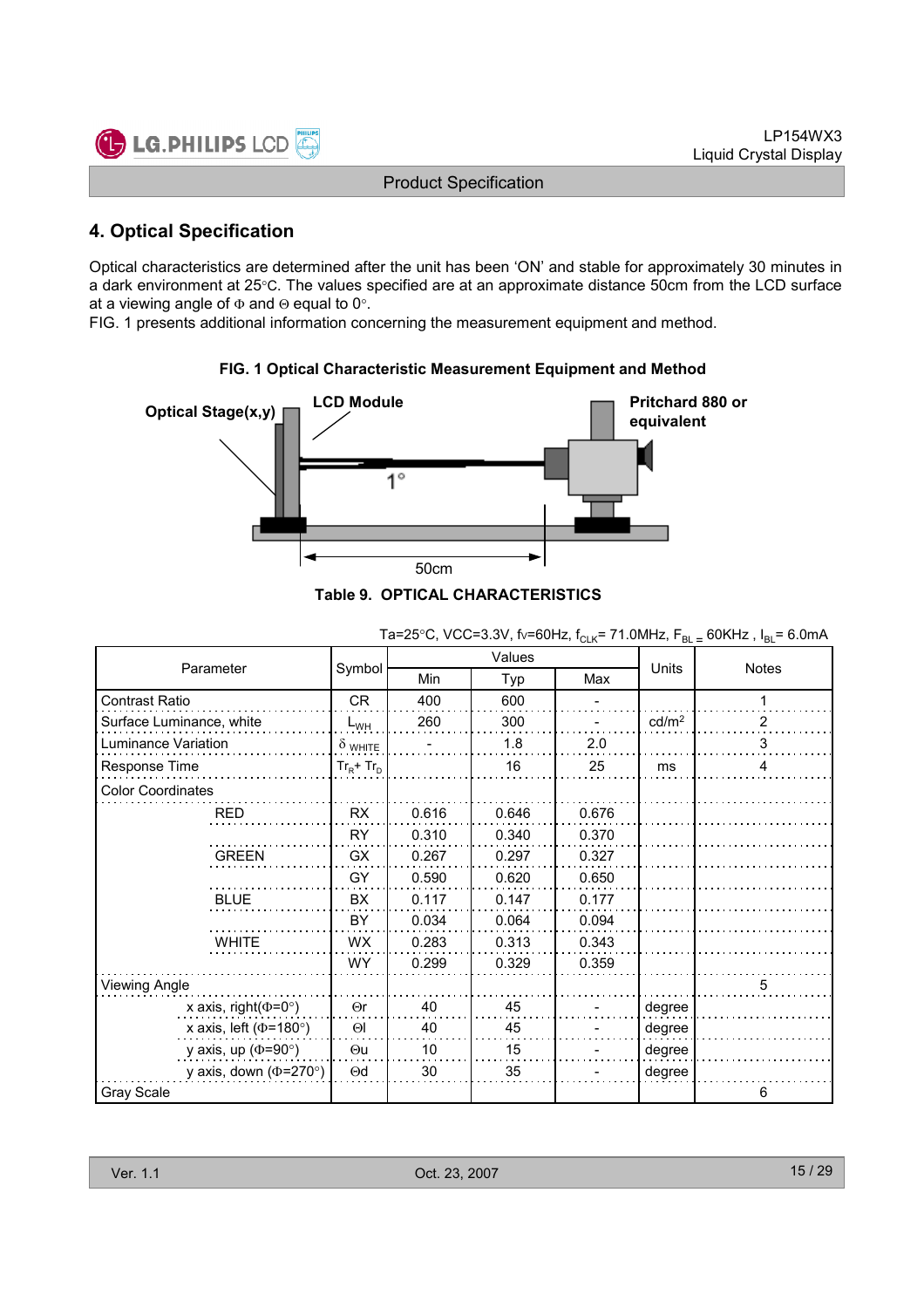

### 4. Optical Specification

Optical characteristics are determined after the unit has been 'ON' and stable for approximately 30 minutes in a dark environment at 25°C. The values specified are at an approximate distance 50cm from the LCD surface at a viewing angle of  $\Phi$  and  $\Theta$  equal to 0°.

FIG. 1 presents additional information concerning the measurement equipment and method.



### FIG. 1 Optical Characteristic Measurement Equipment and Method

|  |  | JIE 9. OFTICAL CHARACTERISTICS. |  |  |
|--|--|---------------------------------|--|--|
|  |  |                                 |  |  |
|  |  |                                 |  |  |

|                              |                |       | Values |       |                   |              |  |
|------------------------------|----------------|-------|--------|-------|-------------------|--------------|--|
| Parameter                    | Symbol         | Min   | Typ    | Max   | Units             | <b>Notes</b> |  |
| Contrast Ratio               | <b>CR</b>      | 400   | 600    |       |                   | 1            |  |
| Surface Luminance, white     | $L_{WH}$       | 260   | 300    |       | cd/m <sup>2</sup> | 2            |  |
| Luminance Variation          | $\delta$ white |       | 1.8    | 2.0   |                   | 3            |  |
| Response Time                | $Tr_R + Tr_D$  |       | 16     | 25    | ms                | 4            |  |
| <b>Color Coordinates</b>     |                |       |        |       |                   |              |  |
| <b>RED</b>                   | RX             | 0.616 | 0.646  | 0.676 |                   |              |  |
|                              | RY             | 0.310 | 0.340  | 0.370 |                   |              |  |
| <b>GREEN</b>                 | GX             | 0.267 | 0.297  | 0.327 |                   |              |  |
|                              | GY             | 0.590 | 0.620  | 0.650 |                   |              |  |
| <b>BLUE</b>                  | BX             | 0.117 | 0.147  | 0.177 |                   |              |  |
|                              | BY             | 0.034 | 0.064  | 0.094 |                   |              |  |
| <b>WHITE</b>                 | <b>WX</b>      | 0.283 | 0.313  | 0.343 |                   |              |  |
|                              | <b>WY</b>      | 0.299 | 0.329  | 0.359 |                   |              |  |
| Viewing Angle                |                |       |        |       |                   | 5            |  |
| x axis, right( $\Phi$ =0°)   | $\Theta$ r     | 40    | 45     |       | degree            |              |  |
| x axis, left ( $\Phi$ =180°) | $\Theta$       | 40    | 45     |       | degree            |              |  |
| y axis, up ( $\Phi$ =90°)    | $\Theta$ u     | 10    | 15     |       | degree            |              |  |
| y axis, down ( $\Phi$ =270°) | $\Theta$ d     | 30    | 35     |       | degree            |              |  |
| Gray Scale                   |                |       |        |       |                   | 6            |  |

Ta=25°C, VCC=3.3V, fv=60Hz, f<sub>CLK</sub>= 71.0MHz,  $F_{BL}$  = 60KHz,  $I_{BL}$ = 6.0mA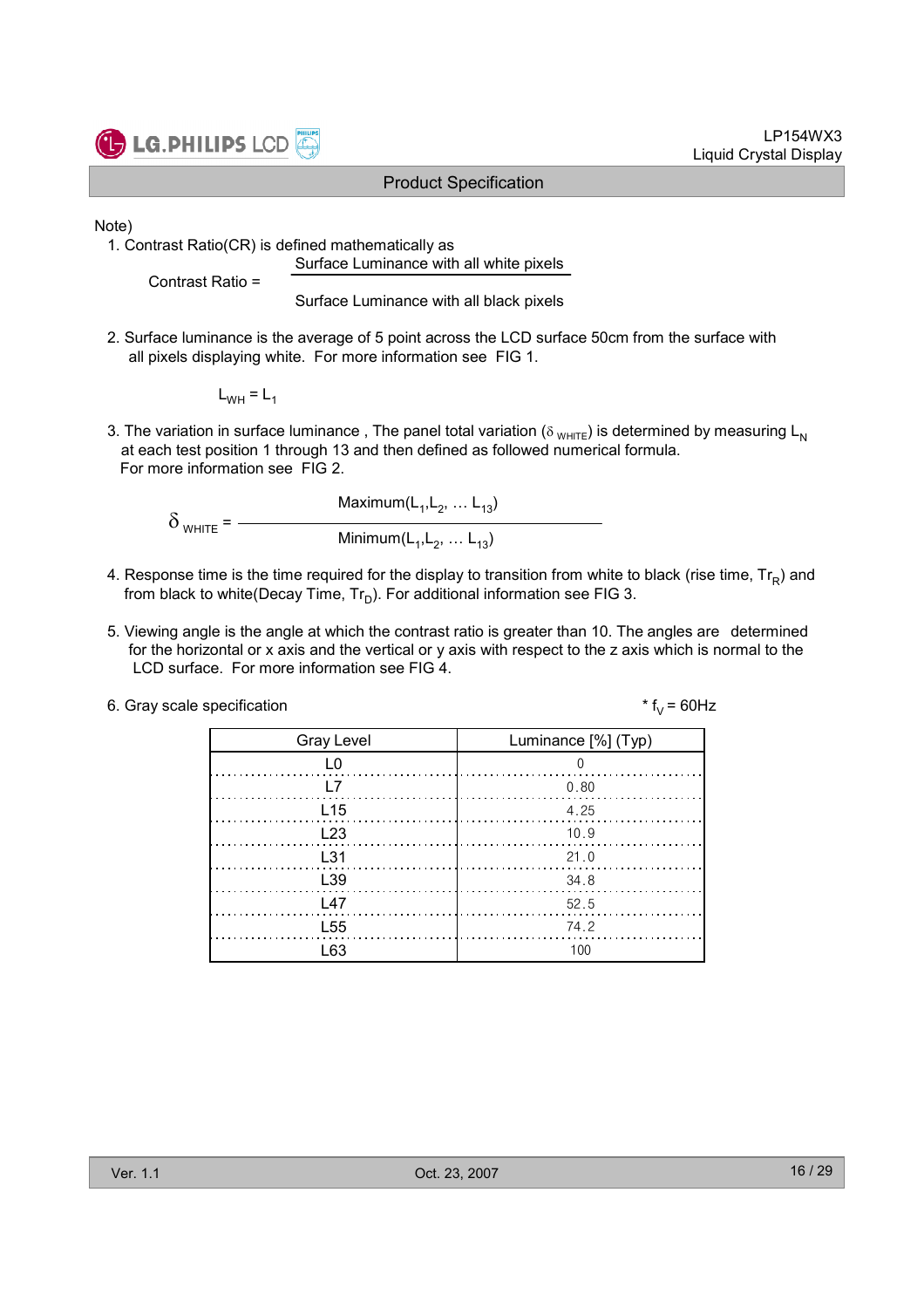

LP154WX3 Liquid Crystal Display

Note)

1. Contrast Ratio(CR) is defined mathematically as Surface Luminance with all white pixels

Contrast Ratio =

Surface Luminance with all black pixels

2. Surface luminance is the average of 5 point across the LCD surface 50cm from the surface with all pixels displaying white. For more information see FIG 1.

 $L_{WH} = L_1$ 

3. The variation in surface luminance, The panel total variation ( $\delta_{WHTE}$ ) is determined by measuring L<sub>N</sub> at each test position 1 through 13 and then defined as followed numerical formula. For more information see FIG 2.

Maximum $(L_1, L_2, ... L_{13})$  $\delta$  <sub>WHITE</sub> = -Minimum $(\mathsf{L}_1, \mathsf{L}_2, \ldots \mathsf{L}_{13})$ 

- 4. Response time is the time required for the display to transition from white to black (rise time,  $\mathsf{Tr}_{\mathsf{R}}$ ) and from black to white(Decay Time,  $\mathsf{Tr}_{\mathsf{D}}$ ). For additional information see FIG 3.
- 5. Viewing angle is the angle at which the contrast ratio is greater than 10. The angles are determined for the horizontal or x axis and the vertical or y axis with respect to the z axis which is normal to the LCD surface. For more information see FIG 4.

| 6. Gray scale specification | * $f_v = 60$ Hz |
|-----------------------------|-----------------|
|-----------------------------|-----------------|

| <b>Gray Level</b>    | Luminance [%] (Typ) |
|----------------------|---------------------|
| L0                   | $\overline{0}$      |
| l 7                  | 0.80                |
| L <sub>15</sub>      | 4.25                |
| L23                  | 10.9                |
| <b>1.31</b>          | 21.0                |
| L39                  | - 34.8              |
| $\lfloor 47 \rfloor$ | 52.5                |
| L <sub>55</sub>      | 74.2                |
| l 63                 | 100                 |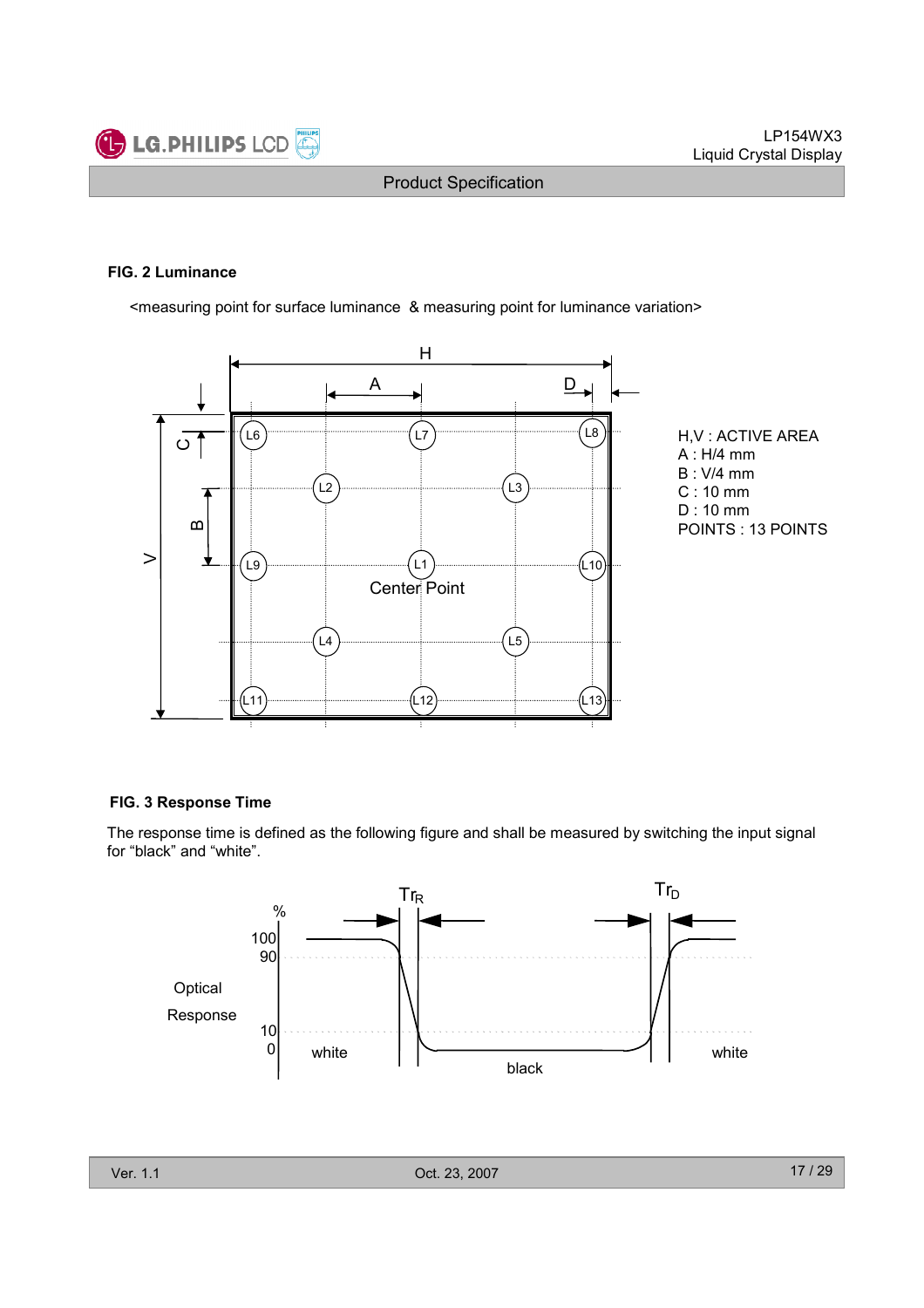

#### FIG. 2 Luminance

<measuring point for surface luminance & measuring point for luminance variation>



H,V : ACTIVE AREA A : H/4 mm B : V/4 mm C : 10 mm D : 10 mm POINTS : 13 POINTS

#### FIG. 3 Response Time

The response time is defined as the following figure and shall be measured by switching the input signal for "black" and "white".

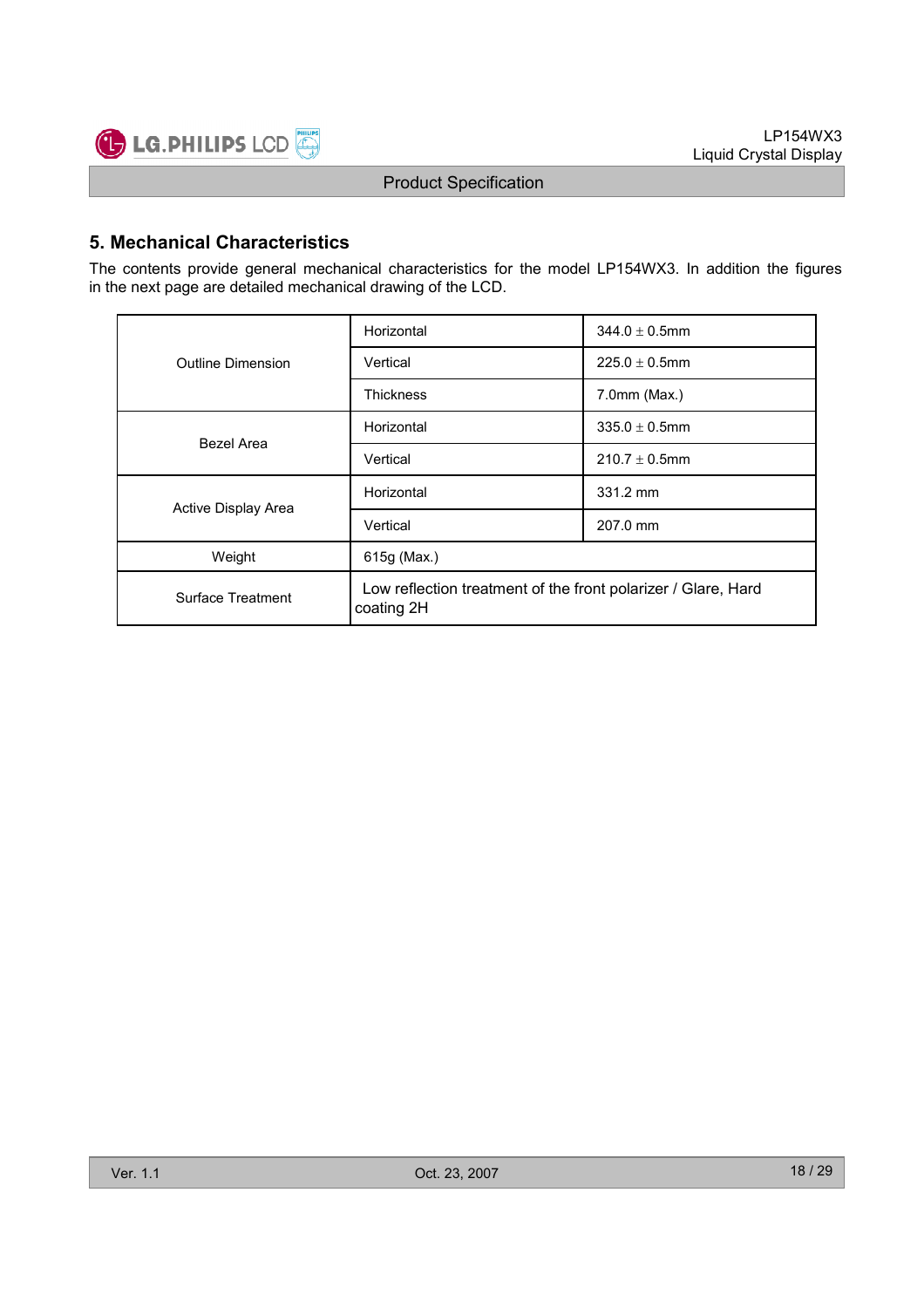

### 5. Mechanical Characteristics

The contents provide general mechanical characteristics for the model LP154WX3. In addition the figures in the next page are detailed mechanical drawing of the LCD.

|                     | Horizontal                                                                  | $344.0 \pm 0.5$ mm |  |  |
|---------------------|-----------------------------------------------------------------------------|--------------------|--|--|
| Outline Dimension   | Vertical                                                                    | $225.0 \pm 0.5$ mm |  |  |
|                     | <b>Thickness</b>                                                            | $7.0$ mm $(Max.)$  |  |  |
| Bezel Area          | Horizontal                                                                  | $335.0 \pm 0.5$ mm |  |  |
|                     | Vertical                                                                    | $210.7 \pm 0.5$ mm |  |  |
| Active Display Area | Horizontal                                                                  | 331.2 mm           |  |  |
|                     | Vertical                                                                    | 207.0 mm           |  |  |
| Weight              | 615g (Max.)                                                                 |                    |  |  |
| Surface Treatment   | Low reflection treatment of the front polarizer / Glare, Hard<br>coating 2H |                    |  |  |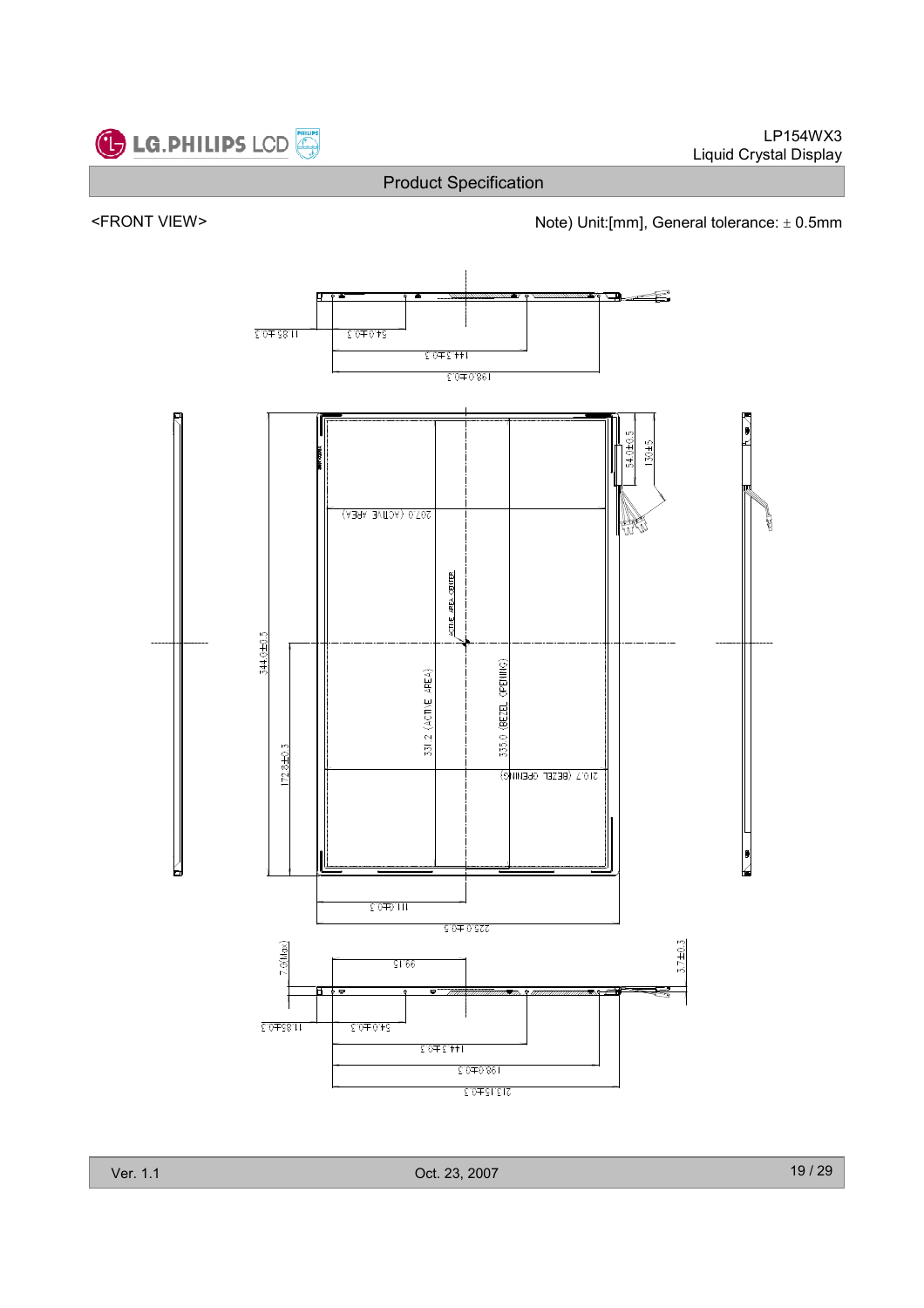



<FRONT VIEW><br>Note) Unit:[mm], General tolerance: ± 0.5mm



Ver. 1.1 Oct. 23, 2007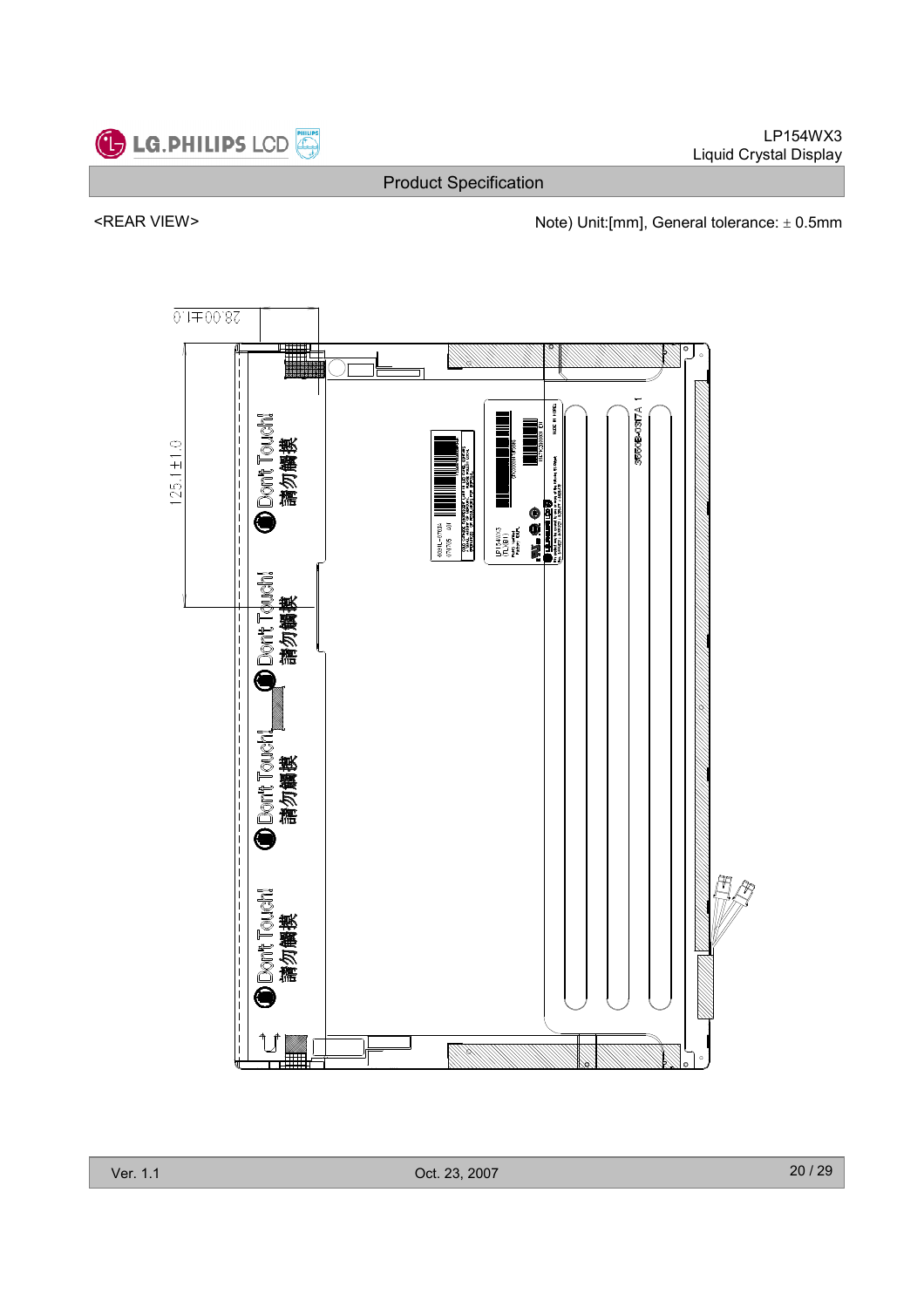

LP154WX3 Liquid Crystal Display

Product Specification

<REAR VIEW> Note) Unit:[mm], General tolerance: ± 0.5mm

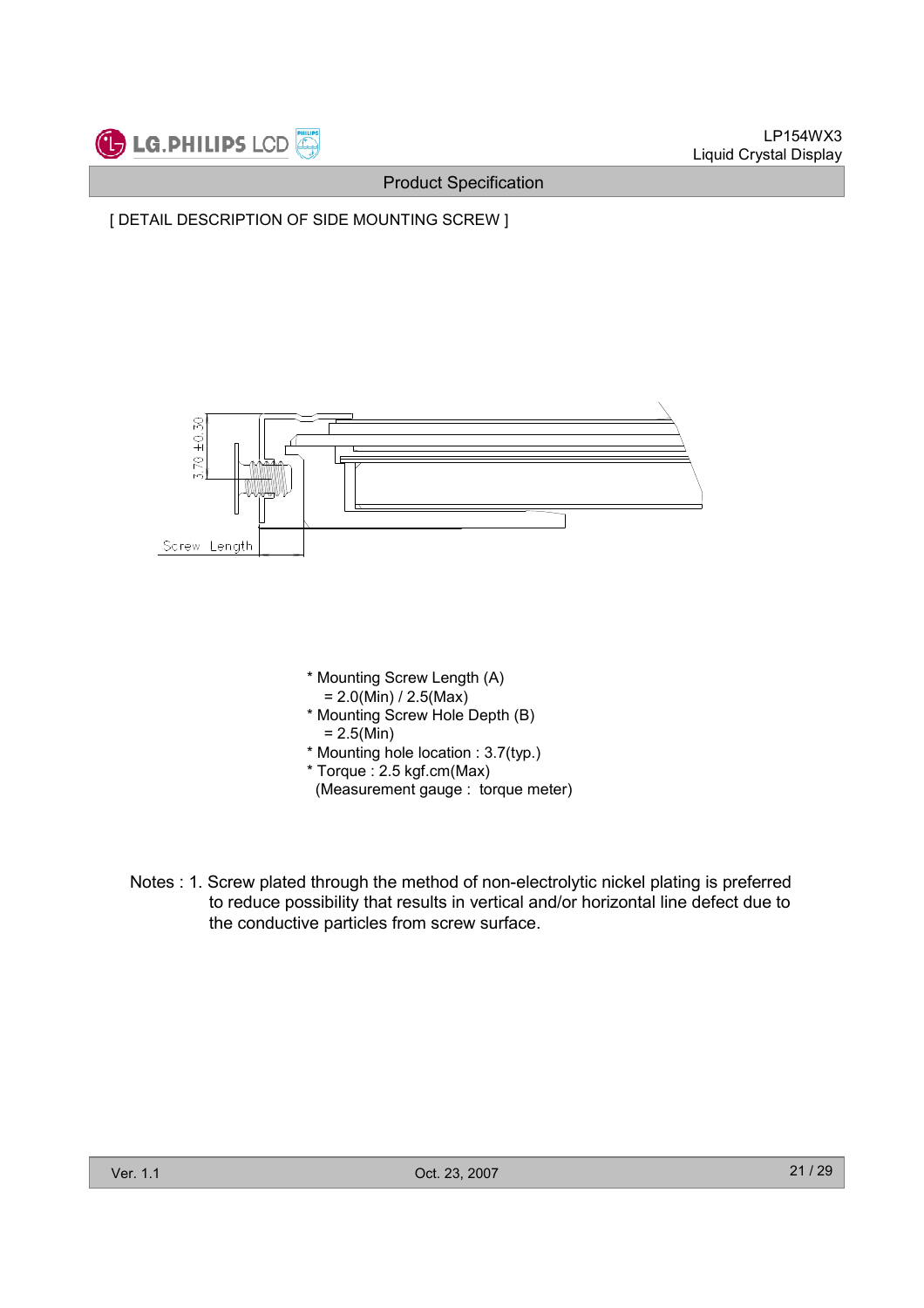





Notes : 1. Screw plated through the method of non-electrolytic nickel plating is preferred to reduce possibility that results in vertical and/or horizontal line defect due to the conductive particles from screw surface.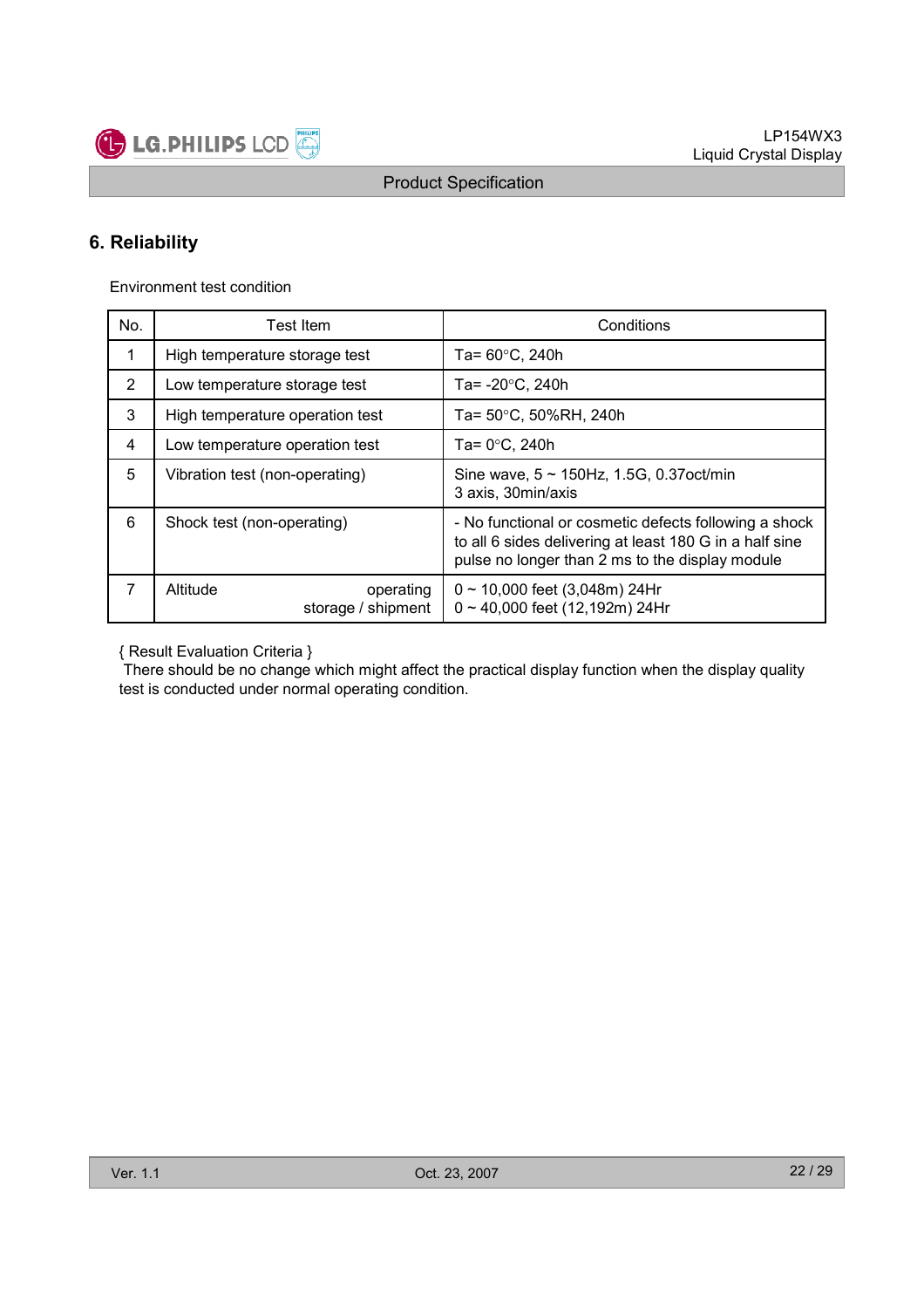

### 6. Reliability

Environment test condition

| No.            | Test Item                                   | Conditions                                                                                                                                                          |
|----------------|---------------------------------------------|---------------------------------------------------------------------------------------------------------------------------------------------------------------------|
| 1              | High temperature storage test               | Ta= $60^{\circ}$ C, 240h                                                                                                                                            |
| $\overline{2}$ | Low temperature storage test                | Ta= $-20^{\circ}$ C, 240h                                                                                                                                           |
| 3              | High temperature operation test             | Ta= 50°C, 50%RH, 240h                                                                                                                                               |
| 4              | Low temperature operation test              | Ta= $0^{\circ}$ C, 240h                                                                                                                                             |
| 5              | Vibration test (non-operating)              | Sine wave, $5 \sim 150$ Hz, 1.5G, 0.37oct/min<br>3 axis, 30min/axis                                                                                                 |
| 6              | Shock test (non-operating)                  | - No functional or cosmetic defects following a shock<br>to all 6 sides delivering at least 180 G in a half sine<br>pulse no longer than 2 ms to the display module |
| 7              | Altitude<br>operating<br>storage / shipment | $0 \sim 10,000$ feet (3,048m) 24Hr<br>$0 \sim 40,000$ feet (12,192m) 24Hr                                                                                           |

{ Result Evaluation Criteria }

There should be no change which might affect the practical display function when the display quality test is conducted under normal operating condition.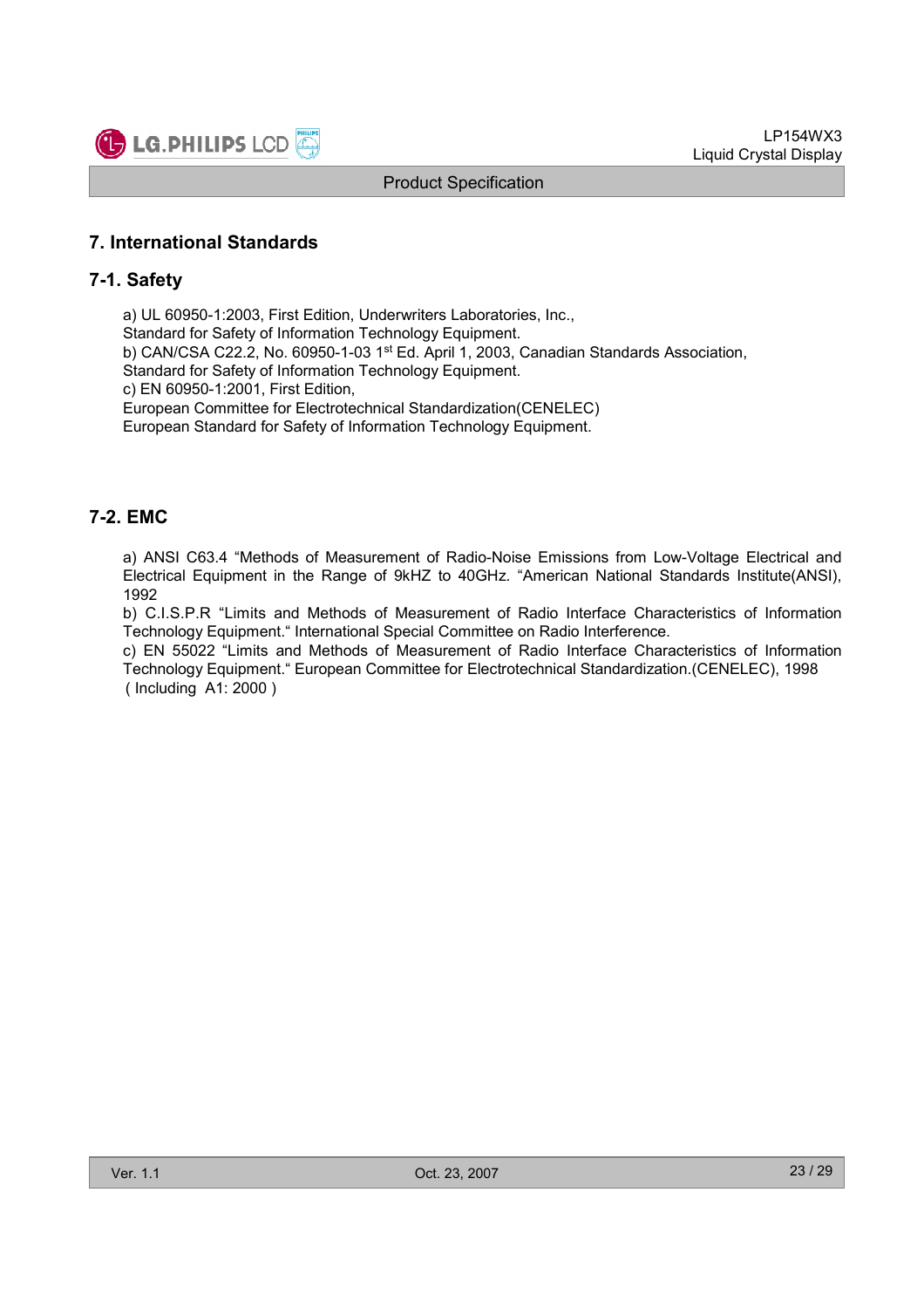

### 7. International Standards

#### 7-1. Safety

a) UL 60950-1:2003, First Edition, Underwriters Laboratories, Inc., Standard for Safety of Information Technology Equipment. b) CAN/CSA C22.2, No. 60950-1-03 1st Ed. April 1, 2003, Canadian Standards Association, Standard for Safety of Information Technology Equipment. c) EN 60950-1:2001, First Edition, European Committee for Electrotechnical Standardization(CENELEC) European Standard for Safety of Information Technology Equipment.

### 7-2. EMC

a) ANSI C63.4 "Methods of Measurement of Radio-Noise Emissions from Low-Voltage Electrical and Electrical Equipment in the Range of 9kHZ to 40GHz. "American National Standards Institute(ANSI), 1992

b) C.I.S.P.R "Limits and Methods of Measurement of Radio Interface Characteristics of Information Technology Equipment." International Special Committee on Radio Interference.

c) EN 55022 "Limits and Methods of Measurement of Radio Interface Characteristics of Information Technology Equipment." European Committee for Electrotechnical Standardization.(CENELEC), 1998 ( Including A1: 2000 )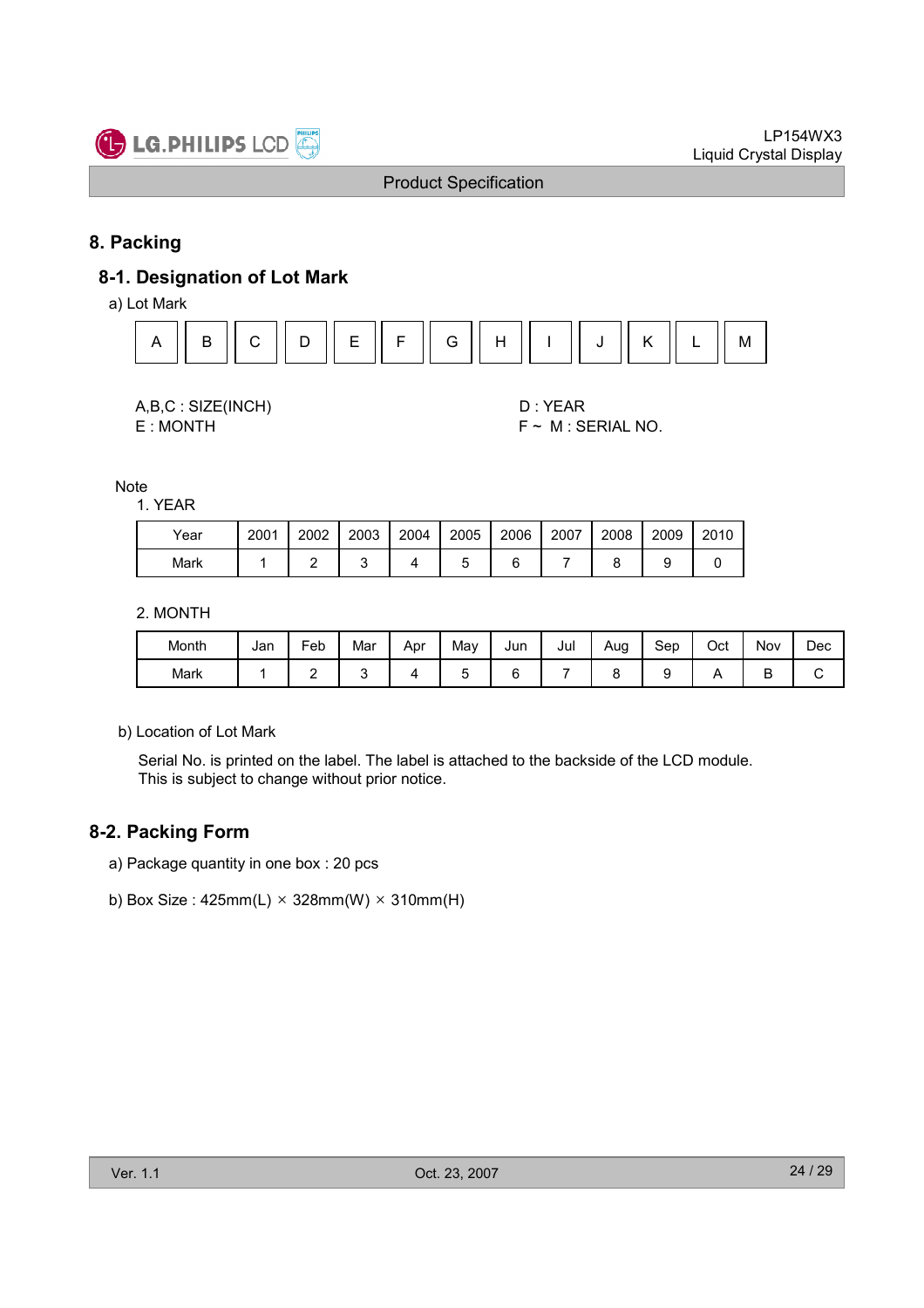

### 8. Packing

### 8-1. Designation of Lot Mark

a) Lot Mark



| A,B,C: SIZE(INCH) |
|-------------------|
| E:MONTH           |

D : YEAR  $F \sim M$  : SERIAL NO.

Note

1. YEAR

| Year | 2001 | 2002 | 2003 | 2004 | 2005 | 2006 | 2007 | 2008 | 2009 | 2010 |
|------|------|------|------|------|------|------|------|------|------|------|
| Mark |      |      |      |      |      |      |      |      |      |      |

2. MONTH

| Month | Jan | Feb | Mar | Apr | May | Jun | Jul | Aug | Sep | Oct | Nov | Dec |
|-------|-----|-----|-----|-----|-----|-----|-----|-----|-----|-----|-----|-----|
| Mark  |     | -   |     |     | ∼   |     |     |     |     |     | ш   | ີ   |

b) Location of Lot Mark

Serial No. is printed on the label. The label is attached to the backside of the LCD module. This is subject to change without prior notice.

### 8-2. Packing Form

- a) Package quantity in one box : 20 pcs
- b) Box Size :  $425mm(L) \times 328mm(W) \times 310mm(H)$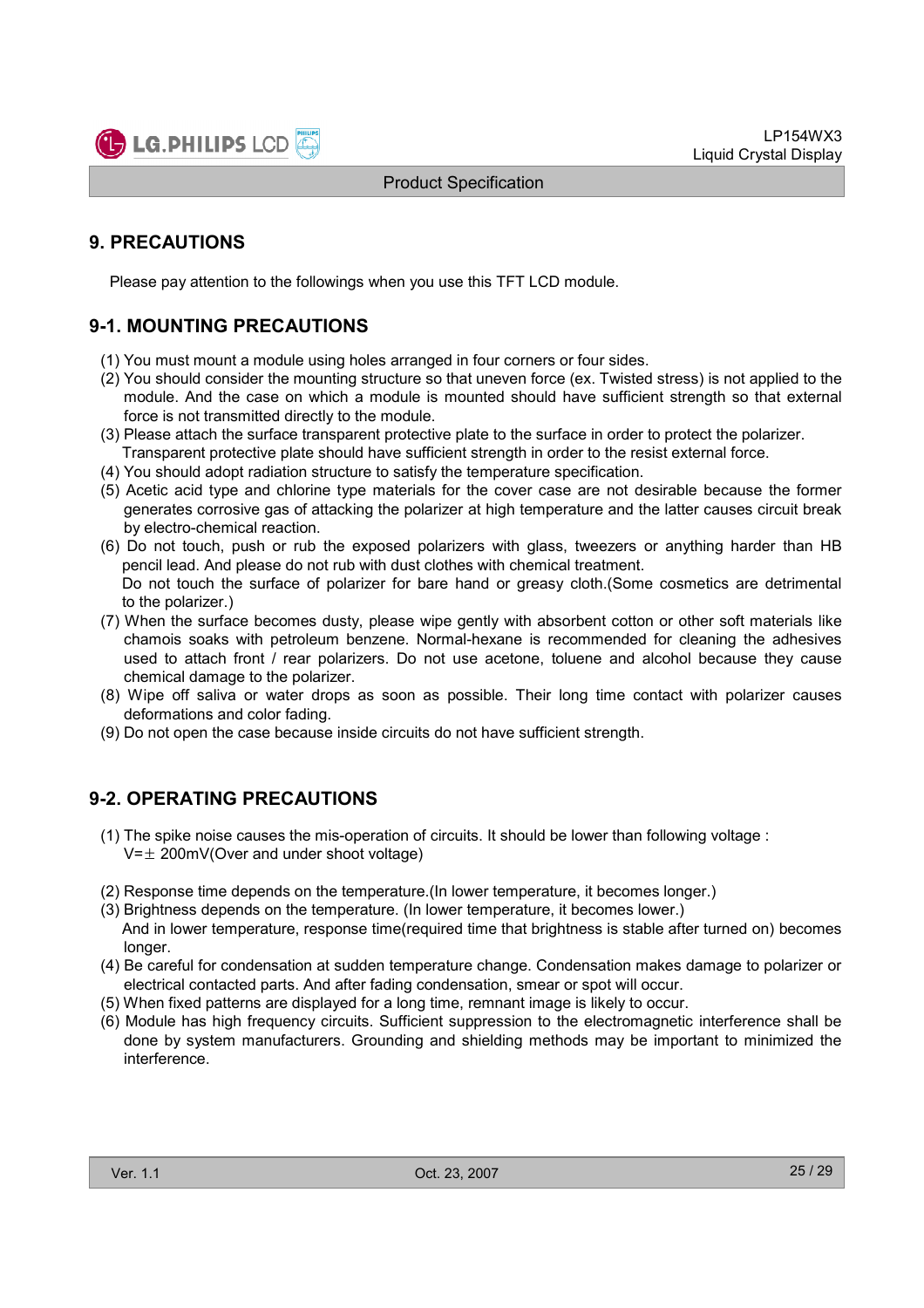

### 9. PRECAUTIONS

Please pay attention to the followings when you use this TFT LCD module.

### 9-1. MOUNTING PRECAUTIONS

- (1) You must mount a module using holes arranged in four corners or four sides.
- (2) You should consider the mounting structure so that uneven force (ex. Twisted stress) is not applied to the module. And the case on which a module is mounted should have sufficient strength so that external force is not transmitted directly to the module.
- (3) Please attach the surface transparent protective plate to the surface in order to protect the polarizer. Transparent protective plate should have sufficient strength in order to the resist external force.
- (4) You should adopt radiation structure to satisfy the temperature specification.
- (5) Acetic acid type and chlorine type materials for the cover case are not desirable because the former generates corrosive gas of attacking the polarizer at high temperature and the latter causes circuit break by electro-chemical reaction.
- (6) Do not touch, push or rub the exposed polarizers with glass, tweezers or anything harder than HB pencil lead. And please do not rub with dust clothes with chemical treatment. Do not touch the surface of polarizer for bare hand or greasy cloth.(Some cosmetics are detrimental to the polarizer.)
- (7) When the surface becomes dusty, please wipe gently with absorbent cotton or other soft materials like chamois soaks with petroleum benzene. Normal-hexane is recommended for cleaning the adhesives used to attach front / rear polarizers. Do not use acetone, toluene and alcohol because they cause chemical damage to the polarizer.
- (8) Wipe off saliva or water drops as soon as possible. Their long time contact with polarizer causes deformations and color fading.
- (9) Do not open the case because inside circuits do not have sufficient strength.

### 9-2. OPERATING PRECAUTIONS

- (1) The spike noise causes the mis-operation of circuits. It should be lower than following voltage :  $V=\pm 200$ mV(Over and under shoot voltage)
- (2) Response time depends on the temperature.(In lower temperature, it becomes longer.)
- (3) Brightness depends on the temperature. (In lower temperature, it becomes lower.) And in lower temperature, response time(required time that brightness is stable after turned on) becomes longer.
- (4) Be careful for condensation at sudden temperature change. Condensation makes damage to polarizer or electrical contacted parts. And after fading condensation, smear or spot will occur.
- (5) When fixed patterns are displayed for a long time, remnant image is likely to occur.
- (6) Module has high frequency circuits. Sufficient suppression to the electromagnetic interference shall be done by system manufacturers. Grounding and shielding methods may be important to minimized the interference.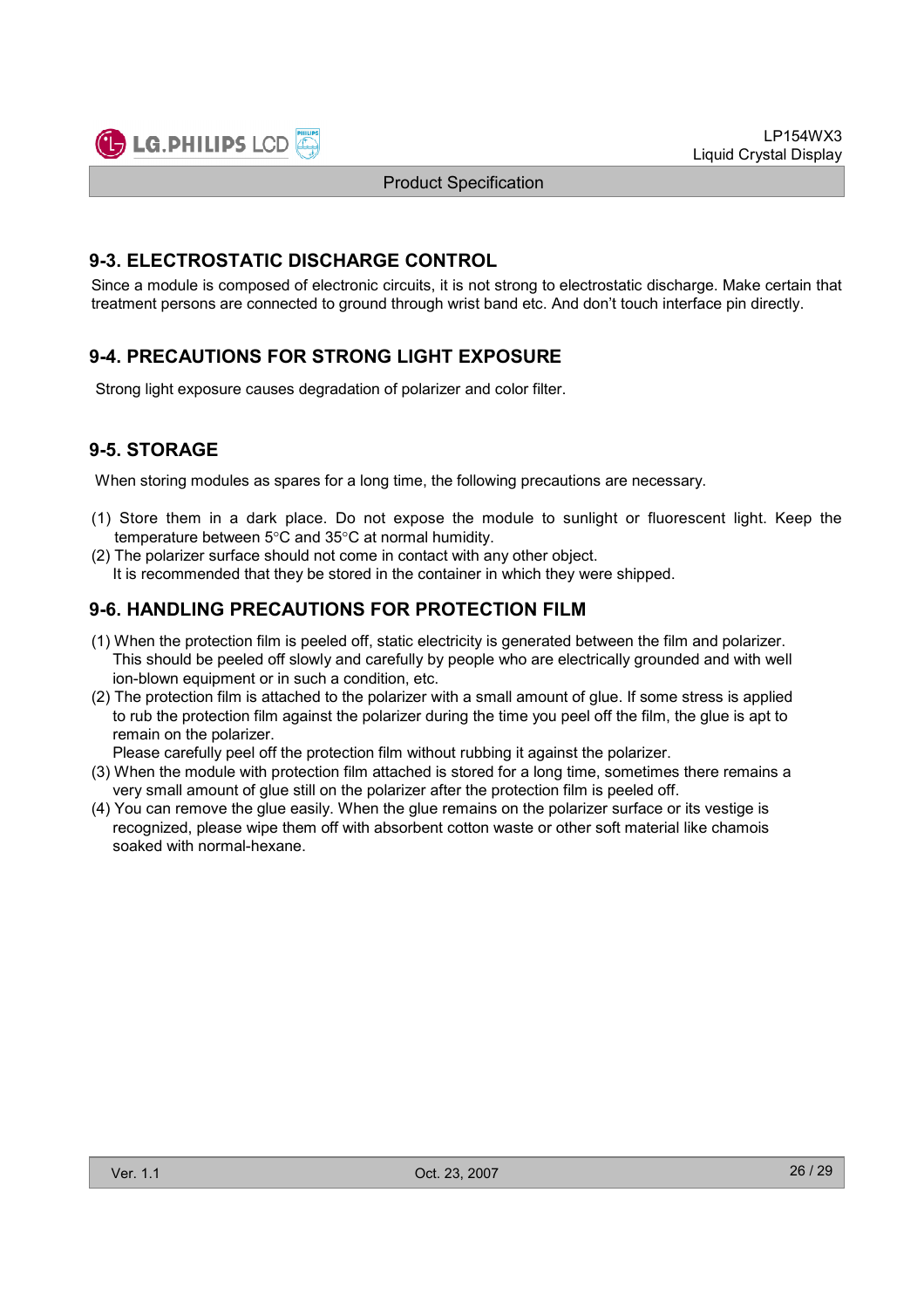

#### 9-3. ELECTROSTATIC DISCHARGE CONTROL

Since a module is composed of electronic circuits, it is not strong to electrostatic discharge. Make certain that treatment persons are connected to ground through wrist band etc. And don't touch interface pin directly.

### 9-4. PRECAUTIONS FOR STRONG LIGHT EXPOSURE

Strong light exposure causes degradation of polarizer and color filter.

### 9-5. STORAGE

When storing modules as spares for a long time, the following precautions are necessary.

- (1) Store them in a dark place. Do not expose the module to sunlight or fluorescent light. Keep the temperature between 5°C and 35°C at normal humidity.
- (2) The polarizer surface should not come in contact with any other object. It is recommended that they be stored in the container in which they were shipped.

### 9-6. HANDLING PRECAUTIONS FOR PROTECTION FILM

- (1) When the protection film is peeled off, static electricity is generated between the film and polarizer. This should be peeled off slowly and carefully by people who are electrically grounded and with well ion-blown equipment or in such a condition, etc.
- (2) The protection film is attached to the polarizer with a small amount of glue. If some stress is applied to rub the protection film against the polarizer during the time you peel off the film, the glue is apt to remain on the polarizer.

Please carefully peel off the protection film without rubbing it against the polarizer.

- (3) When the module with protection film attached is stored for a long time, sometimes there remains a very small amount of glue still on the polarizer after the protection film is peeled off.
- (4) You can remove the glue easily. When the glue remains on the polarizer surface or its vestige is recognized, please wipe them off with absorbent cotton waste or other soft material like chamois soaked with normal-hexane.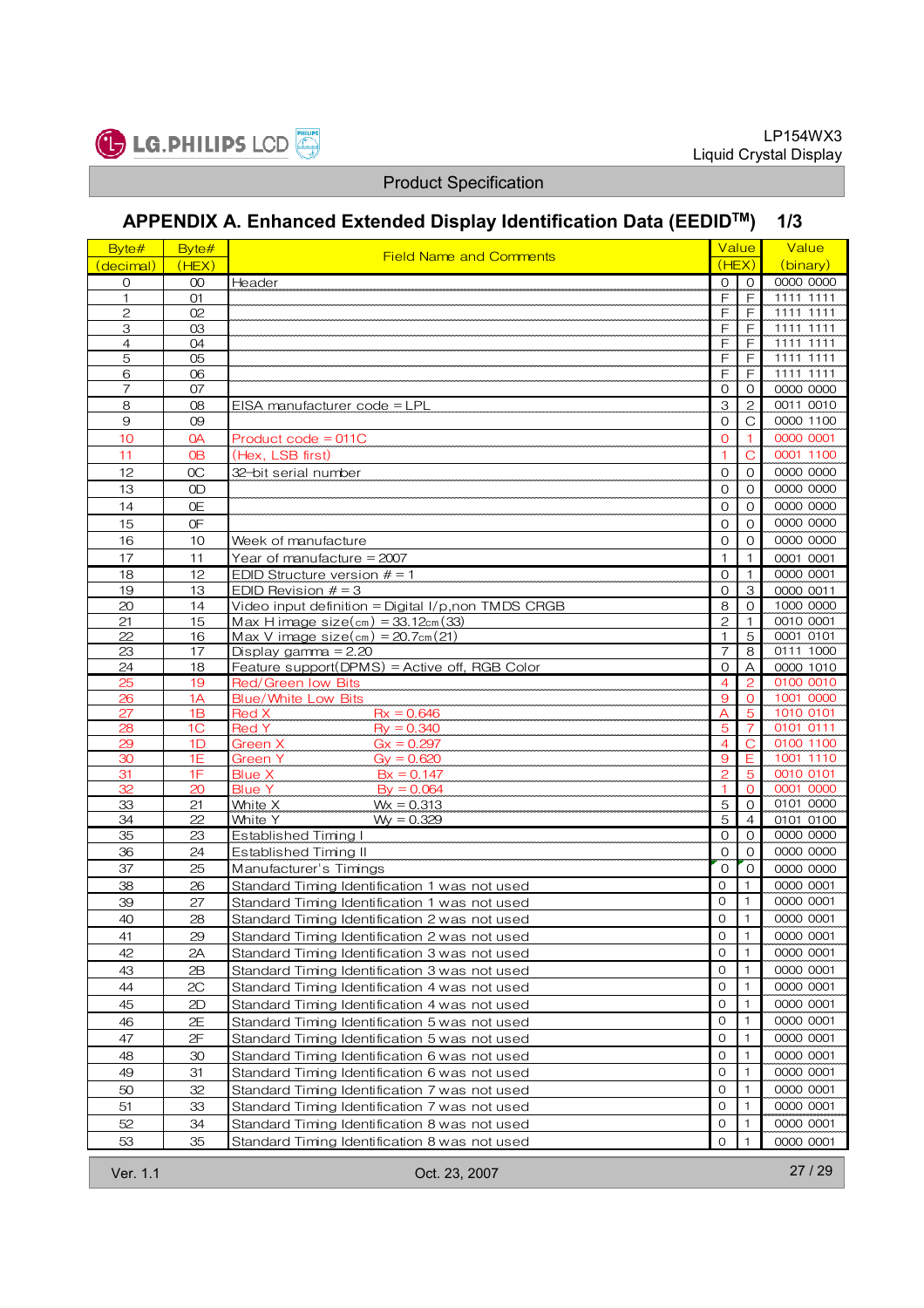

# APPENDIX A. Enhanced Extended Display Identification Data (EEDIDTM) 1/3

| Byte#               | Byte#          | <b>Field Name and Comments</b>                                                                 | Value                          |                                  | Value                  |
|---------------------|----------------|------------------------------------------------------------------------------------------------|--------------------------------|----------------------------------|------------------------|
| (decimal)           | (HEX)          |                                                                                                | (HEX)                          |                                  | (binary)               |
| $\circ$             | 00             | Header                                                                                         | $\Omega$                       | $\mathbf{O}$                     | 0000 0000              |
| 1                   | 01             |                                                                                                | F                              | F                                | 1111 1111              |
| $\overline{c}$      | O <sub>2</sub> |                                                                                                | $\mathsf{F}$                   | F                                | 1111 1111              |
| 3<br>$\overline{4}$ | 03<br>04       |                                                                                                | F<br>F                         | $\mathsf{F}$<br>F                | 1111 1111<br>1111 1111 |
| 5                   | 05             |                                                                                                | F                              | F                                | 1111 1111              |
| 6                   | 06             |                                                                                                | $\mathsf{F}$                   | F                                | 1111 1111              |
| $\overline{7}$      | 07             |                                                                                                | $\mathbf{O}$                   | $\circ$                          | 0000 0000              |
| 8                   | 08             | EISA manufacturer code = LPL                                                                   | 3                              | 2                                | 0011 0010              |
| $\overline{9}$      | 09             |                                                                                                | $\mathbf{O}$                   | С                                | 0000 1100              |
| 10                  | 0A             | Product code = 011C                                                                            | $\mathbf 0$                    | 1                                | 0000 0001              |
| 11                  | <b>OB</b>      | (Hex, LSB first)                                                                               | $\overline{1}$                 | $\overline{C}$                   | 0001 1100              |
| 12                  | OC             | 32-bit serial number                                                                           | $\mathbf{O}$                   | $\Omega$                         | 0000 0000              |
| 13                  | 0D             |                                                                                                | $\mathbf{O}$                   | $\Omega$                         | 0000 0000              |
| 14                  | 0E             |                                                                                                | $\mathbf 0$                    | $\mathbf{O}$                     | 0000 0000              |
| 15                  | 0F             |                                                                                                | $\mathbf{O}$                   | $\Omega$                         | 0000 0000              |
| 16                  | 10             | Week of manufacture                                                                            | $\mathcal{O}$                  | $\circ$                          | 0000 0000              |
| 17                  | 11             | Year of manufacture $= 2007$                                                                   | $\mathbf{1}$                   | $\mathbf{1}$                     | 0001 0001              |
| 18                  | 12             | EDID Structure version $# = 1$                                                                 | $\mathbf{O}$                   | $\mathbf{1}$                     | 0000 0001              |
| 19                  | 13             | EDID Revision $# = 3$                                                                          | $\overline{O}$                 | 3                                | 0000 0011              |
| 20                  | 14             | Video input definition = Digital $1/p$ , non TMDS CRGB                                         | $\,8\,$                        | $\mathbf{O}$                     | 1000 0000              |
| 21                  | 15             | Max H image $size(cm) = 33.12cm(33)$                                                           | $\overline{c}$                 | 1                                | 0010 0001              |
| 22                  | 16             | Max V image $size(cm) = 20.7cm(21)$                                                            | $\mathbf{1}$                   | 5                                | 0001 0101              |
| 23                  | 17             | Display gamma $= 2.20$                                                                         | $\overline{7}$                 | 8                                | 0111 1000              |
| 24                  | 18             | Feature support(DPMS) = Active off, RGB Color                                                  | $\mathbf{O}$                   | A                                | 0000 1010<br>0100 0010 |
| 25<br>26            | 19<br>1A       | <b>Red/Green low Bits</b><br><b>Blue/White Low Bits</b>                                        | $\overline{4}$<br>9            | $\overline{c}$<br>$\overline{O}$ | 1001 0000              |
| 27                  | 1B             | Red X<br>$Rx = 0.646$                                                                          | A                              | 5                                | 1010 0101              |
| 28                  | 1 <sup>C</sup> | <b>Red Y</b><br>$Ry = 0.340$                                                                   | 5                              | 7                                | 0101 0111              |
| 29                  | 1D             | Green X<br>$Gx = 0.297$                                                                        | $\overline{4}$                 | C                                | 0100 1100              |
| 30                  | 1E             | <b>Green Y</b><br>$Gy = 0.620$                                                                 | $\overline{9}$                 | Ε                                | 1001 1110              |
| 31                  | 1F             | <b>Blue X</b><br>$Bx = 0.147$                                                                  | $\overline{2}$                 | 5                                | 0010 0101              |
| 32                  | 20             | <b>Blue Y</b><br>$By = 0.064$                                                                  | $\mathbf{1}$                   | $\Omega$                         | 0001 0000              |
| 33                  | 21             | White X<br>$Wx = 0.313$                                                                        | 5                              | $\mathbf{O}$                     | 0101 0000              |
| 34<br>35            | 22             | $Wy = 0.329$<br>White Y                                                                        | $\overline{5}$                 | $\overline{4}$                   | 0101 0100<br>0000 0000 |
| 36                  | 23             | Established Timing I                                                                           | $\mathbf{O}$<br>$\overline{O}$ | $\Omega$<br>$\Omega$             | 0000 0000              |
| 37                  | 24<br>25       | Established Timing II<br>Manufacturer's Timings                                                | $\mathbf{O}$                   | $\Omega$                         | 0000 0000              |
| $\overline{38}$     | 26             | Standard Timing Identification 1 was not used                                                  | $\circ$                        | 1                                | 0000 0001              |
| 39                  | 27             | Standard Timing Identification 1 was not used                                                  | $\Omega$                       | $\mathbf{1}$                     | 0000 0001              |
| 40                  | 28             |                                                                                                | $\Omega$                       | $\mathbf{1}$                     | 0000 0001              |
| 41                  | 29             | Standard Timing Identification 2 was not used<br>Standard Timing Identification 2 was not used | 0                              | 1                                | 0000 0001              |
| 42                  | 2A             |                                                                                                | $\mathbf{O}$                   | $\mathbf{1}$                     | 0000 0001              |
| 43                  | 2B             | Standard Timing Identification 3 was not used                                                  | 0                              | 1                                | 0000 0001              |
| 44                  | 2C             | Standard Timing Identification 3 was not used<br>Standard Timing Identification 4 was not used | $\circ$                        | 1                                | 0000 0001              |
|                     |                |                                                                                                | $\mathbf{O}$                   | 1                                | 0000 0001              |
| 45                  | 2D             | Standard Timing Identification 4 was not used                                                  | $\circ$                        | $\mathbf{1}$                     | 0000 0001              |
| 46                  | 2E             | Standard Timing Identification 5 was not used                                                  | 0                              | $\mathbf{1}$                     | 0000 0001              |
| 47                  | 2F             | Standard Timing Identification 5 was not used                                                  | $\mathbf{O}$                   | 1                                | 0000 0001              |
| 48<br>49            | 30<br>31       | Standard Timing Identification 6 was not used                                                  | $\mathbf{O}$                   | 1                                | 0000 0001              |
|                     |                | Standard Timing Identification 6 was not used                                                  | $\circ$                        |                                  |                        |
| 50                  | 32             | Standard Timing Identification 7 was not used                                                  |                                | $\mathbf{1}$                     | 0000 0001              |
| 51                  | 33             | Standard Timing Identification 7 was not used                                                  | $\mathbf{O}$                   | 1                                | 0000 0001              |
| 52                  | 34             | Standard Timing Identification 8 was not used                                                  | $\mathbf 0$                    | 1                                | 0000 0001              |
| 53                  | 35             | Standard Timing Identification 8 was not used                                                  | $\mathbf 0$                    | $\mathbf{1}$                     | 0000 0001              |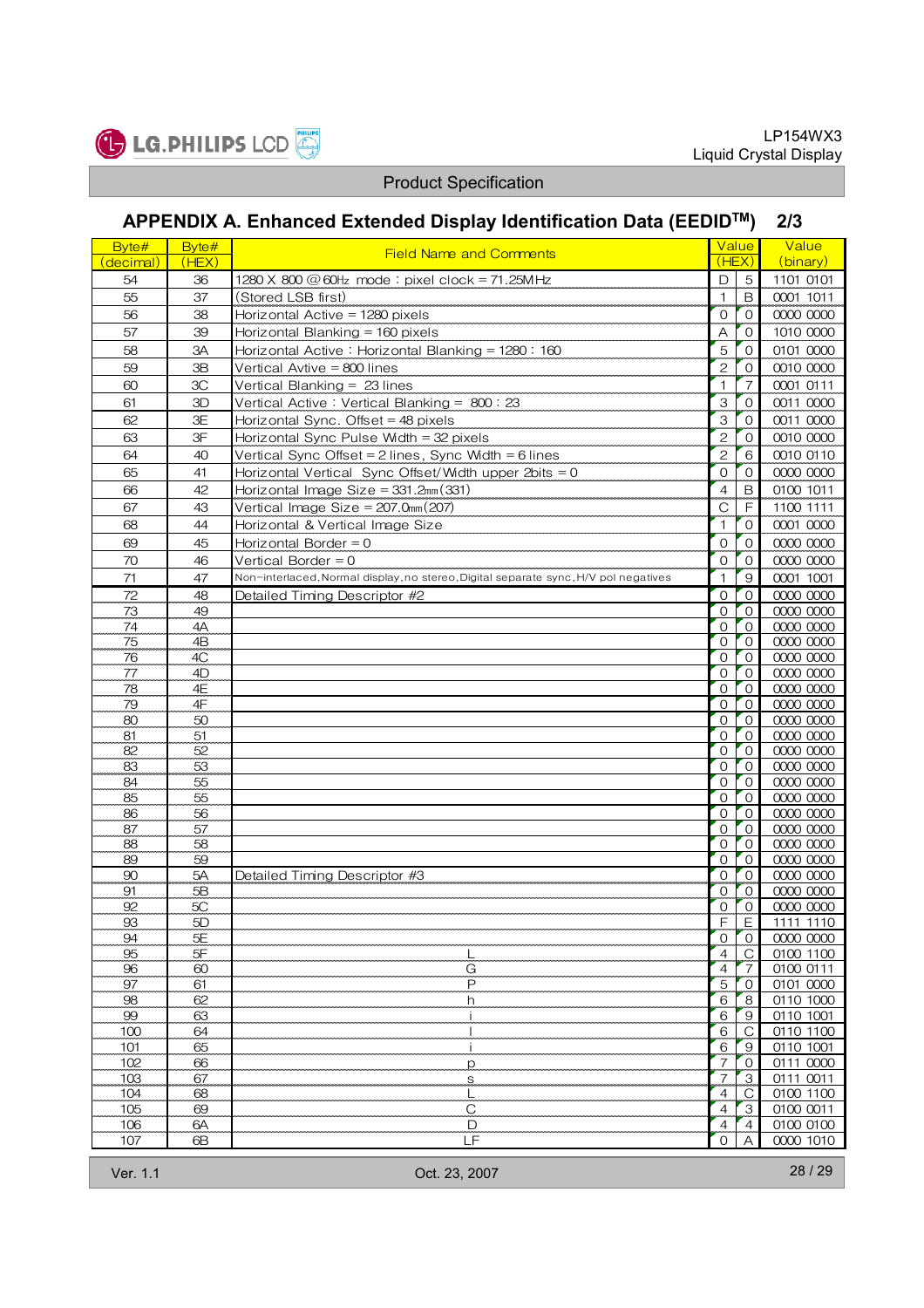



# APPENDIX A. Enhanced Extended Display Identification Data (EEDIDTM) 2/3

| 5<br>1101 0101<br>54<br>D<br>36<br>1280 X 800 @ 60Hz mode: pixel clock = 71.25MHz<br>55<br>$\mathbf{1}$<br>0001 1011<br>37<br>(Stored LSB first)<br>B<br>56<br>38<br>$\overline{O}$<br>0000 0000<br>Horizontal Active = 1280 pixels<br>$\Omega$<br>1010 0000<br>57<br>Horizontal Blanking = 160 pixels<br>A<br>$\mathbf{O}$<br>39<br>5<br>58<br>0101 0000<br>3A<br>Horizontal Active: Horizontal Blanking = 1280: 160<br>$\mathbf{O}$<br>$\overline{c}$<br>0010 0000<br>59<br>Vertical Avtive $= 800$ lines<br>ЗB<br>$\mathbf{O}$<br>$\overline{7}$<br>0001 0111<br>60<br>3C<br>Vertical Blanking = $23$ lines<br>$\mathbf{1}$<br>61<br>3<br>Vertical Active: Vertical Blanking = 800: 23<br>$\mathbf{O}$<br>0011 0000<br>ЗD<br>3<br>62<br>0011 0000<br>Horizontal Sync. Offset = 48 pixels<br>ЗE<br>$\mathbf{O}$<br>$\overline{c}$<br>63<br>3F<br>Horizontal Sync Pulse Width = 32 pixels<br>0010 0000<br>0<br>64<br>$\overline{c}$<br>0010 0110<br>40<br>Vertical Sync Offset = 2 lines, Sync Width = 6 lines<br>6<br>0000 0000<br>65<br>Horizontal Vertical Sync Offset/Width upper 2bits = $0$<br>$\mathbf{O}$<br>$\circ$<br>41<br>$\overline{4}$<br>0100 1011<br>66<br>42<br>Horizontal Image Size = $331.2mm(331)$<br>B<br>67<br>F<br>1100 1111<br>43<br>Vertical Image Size = $207.0$ mm $(207)$<br>C<br>68<br>$\mathbf{1}$<br>$\mathbf{O}$<br>0001 0000<br>44<br>Horizontal & Vertical Image Size<br>69<br>0000 0000<br>Horizontal Border = $0$<br>$\mathbf{O}$<br>$\mathbf{O}$<br>45<br>70<br>0000 0000<br>46<br>Vertical Border $= 0$<br>$\mathbf 0$<br>$\mathbf{O}$<br>71<br>0001 1001<br>47<br>Non-interlaced, Normal display, no stereo, Digital separate sync, H/V pol negatives<br>$\mathbf{1}$<br>9<br>0000 0000<br>72<br>48<br>Detailed Timing Descriptor #2<br>$\circ$<br>$\mathbf{O}$<br>73<br>0000 0000<br>49<br>$\mathbf{O}$<br>$\mathbf{O}$<br>74<br>$\mathbf{O}$<br>$\mathbf{O}$<br>0000 0000<br>4A<br>75<br>4B<br>$\circ$<br>$\mathbf{O}$<br>0000 0000<br>00000000<br>76<br>$\mathbf{O}$<br>4C<br>$\Omega$<br>77<br>$\circ$<br>$\mathbf{O}$<br>0000 0000<br>4D<br>78<br>4E<br>$\circ$<br>$\mathbf{O}$<br>0000 0000<br>79<br>0000 0000<br>$\mathbf{O}$<br>$\mathbf{O}$<br>4F<br>80<br>$\mathbf{O}$<br>$\mathbf{O}$<br>0000 0000<br>50<br>81<br>0000 0000<br>51<br>$\mathbf{O}$<br>$\mathbf 0$<br>82<br>$\mathbf{O}$<br>0000 0000<br>52<br>$\mathbf{O}$<br>0000 0000<br>83<br>53<br>$\mathbf{O}$<br>$\mathbf{O}$<br>0000 0000<br>84<br>55<br>$\circ$<br>$\mathbf 0$<br>85<br>$\mathbf{O}$<br>0000 0000<br>55<br>$\mathbf{O}$<br>86<br>$\mathbf{O}$<br>$\mathbf{O}$<br>0000 0000<br>56<br>87<br>57<br>0000 0000<br>$\circ$<br>$\mathbf{O}$<br>$\mathbf{O}$<br>0000 0000<br>88<br>58<br>$\mathbf{O}$<br>89<br>$\circ$<br>0000 0000<br>59<br>$\mathbf{0}$<br>90<br>0000 0000<br>5A<br>$\mathbf{O}$<br>$\mathbf{O}$<br>Detailed Timing Descriptor #3<br>0000 0000<br>91<br>5B<br>$\mathbf{O}$<br>$\Omega$<br>92<br>5C<br>0000 0000<br>0<br>$\mathbf 0$<br>F<br>93<br>5D<br>Е<br>1111 1110<br>5E<br>0000 0000<br>94<br>0<br>0<br>5F<br>$\overline{C}$<br>95<br>$\overline{4}$<br>0100 1100<br>96<br>60<br>G<br>$\overline{4}$<br>0100 0111<br>7<br>97<br>P<br>61<br>5<br>0101 0000<br>$\mathbf{0}$<br>98<br>62<br>6<br>8<br>0110 1000<br>h | Byte#<br>(decimal) | Byte#<br>(HEX) | <b>Field Name and Comments</b> | Value<br>(HEX) | Value<br>(binary) |
|-------------------------------------------------------------------------------------------------------------------------------------------------------------------------------------------------------------------------------------------------------------------------------------------------------------------------------------------------------------------------------------------------------------------------------------------------------------------------------------------------------------------------------------------------------------------------------------------------------------------------------------------------------------------------------------------------------------------------------------------------------------------------------------------------------------------------------------------------------------------------------------------------------------------------------------------------------------------------------------------------------------------------------------------------------------------------------------------------------------------------------------------------------------------------------------------------------------------------------------------------------------------------------------------------------------------------------------------------------------------------------------------------------------------------------------------------------------------------------------------------------------------------------------------------------------------------------------------------------------------------------------------------------------------------------------------------------------------------------------------------------------------------------------------------------------------------------------------------------------------------------------------------------------------------------------------------------------------------------------------------------------------------------------------------------------------------------------------------------------------------------------------------------------------------------------------------------------------------------------------------------------------------------------------------------------------------------------------------------------------------------------------------------------------------------------------------------------------------------------------------------------------------------------------------------------------------------------------------------------------------------------------------------------------------------------------------------------------------------------------------------------------------------------------------------------------------------------------------------------------------------------------------------------------------------------------------------------------------------------------------------------------------------------------------------------------------------------------------------------------------------------------------------------------------------------------------------------------------------------------------------------|--------------------|----------------|--------------------------------|----------------|-------------------|
|                                                                                                                                                                                                                                                                                                                                                                                                                                                                                                                                                                                                                                                                                                                                                                                                                                                                                                                                                                                                                                                                                                                                                                                                                                                                                                                                                                                                                                                                                                                                                                                                                                                                                                                                                                                                                                                                                                                                                                                                                                                                                                                                                                                                                                                                                                                                                                                                                                                                                                                                                                                                                                                                                                                                                                                                                                                                                                                                                                                                                                                                                                                                                                                                                                                             |                    |                |                                |                |                   |
|                                                                                                                                                                                                                                                                                                                                                                                                                                                                                                                                                                                                                                                                                                                                                                                                                                                                                                                                                                                                                                                                                                                                                                                                                                                                                                                                                                                                                                                                                                                                                                                                                                                                                                                                                                                                                                                                                                                                                                                                                                                                                                                                                                                                                                                                                                                                                                                                                                                                                                                                                                                                                                                                                                                                                                                                                                                                                                                                                                                                                                                                                                                                                                                                                                                             |                    |                |                                |                |                   |
|                                                                                                                                                                                                                                                                                                                                                                                                                                                                                                                                                                                                                                                                                                                                                                                                                                                                                                                                                                                                                                                                                                                                                                                                                                                                                                                                                                                                                                                                                                                                                                                                                                                                                                                                                                                                                                                                                                                                                                                                                                                                                                                                                                                                                                                                                                                                                                                                                                                                                                                                                                                                                                                                                                                                                                                                                                                                                                                                                                                                                                                                                                                                                                                                                                                             |                    |                |                                |                |                   |
|                                                                                                                                                                                                                                                                                                                                                                                                                                                                                                                                                                                                                                                                                                                                                                                                                                                                                                                                                                                                                                                                                                                                                                                                                                                                                                                                                                                                                                                                                                                                                                                                                                                                                                                                                                                                                                                                                                                                                                                                                                                                                                                                                                                                                                                                                                                                                                                                                                                                                                                                                                                                                                                                                                                                                                                                                                                                                                                                                                                                                                                                                                                                                                                                                                                             |                    |                |                                |                |                   |
|                                                                                                                                                                                                                                                                                                                                                                                                                                                                                                                                                                                                                                                                                                                                                                                                                                                                                                                                                                                                                                                                                                                                                                                                                                                                                                                                                                                                                                                                                                                                                                                                                                                                                                                                                                                                                                                                                                                                                                                                                                                                                                                                                                                                                                                                                                                                                                                                                                                                                                                                                                                                                                                                                                                                                                                                                                                                                                                                                                                                                                                                                                                                                                                                                                                             |                    |                |                                |                |                   |
|                                                                                                                                                                                                                                                                                                                                                                                                                                                                                                                                                                                                                                                                                                                                                                                                                                                                                                                                                                                                                                                                                                                                                                                                                                                                                                                                                                                                                                                                                                                                                                                                                                                                                                                                                                                                                                                                                                                                                                                                                                                                                                                                                                                                                                                                                                                                                                                                                                                                                                                                                                                                                                                                                                                                                                                                                                                                                                                                                                                                                                                                                                                                                                                                                                                             |                    |                |                                |                |                   |
|                                                                                                                                                                                                                                                                                                                                                                                                                                                                                                                                                                                                                                                                                                                                                                                                                                                                                                                                                                                                                                                                                                                                                                                                                                                                                                                                                                                                                                                                                                                                                                                                                                                                                                                                                                                                                                                                                                                                                                                                                                                                                                                                                                                                                                                                                                                                                                                                                                                                                                                                                                                                                                                                                                                                                                                                                                                                                                                                                                                                                                                                                                                                                                                                                                                             |                    |                |                                |                |                   |
|                                                                                                                                                                                                                                                                                                                                                                                                                                                                                                                                                                                                                                                                                                                                                                                                                                                                                                                                                                                                                                                                                                                                                                                                                                                                                                                                                                                                                                                                                                                                                                                                                                                                                                                                                                                                                                                                                                                                                                                                                                                                                                                                                                                                                                                                                                                                                                                                                                                                                                                                                                                                                                                                                                                                                                                                                                                                                                                                                                                                                                                                                                                                                                                                                                                             |                    |                |                                |                |                   |
|                                                                                                                                                                                                                                                                                                                                                                                                                                                                                                                                                                                                                                                                                                                                                                                                                                                                                                                                                                                                                                                                                                                                                                                                                                                                                                                                                                                                                                                                                                                                                                                                                                                                                                                                                                                                                                                                                                                                                                                                                                                                                                                                                                                                                                                                                                                                                                                                                                                                                                                                                                                                                                                                                                                                                                                                                                                                                                                                                                                                                                                                                                                                                                                                                                                             |                    |                |                                |                |                   |
|                                                                                                                                                                                                                                                                                                                                                                                                                                                                                                                                                                                                                                                                                                                                                                                                                                                                                                                                                                                                                                                                                                                                                                                                                                                                                                                                                                                                                                                                                                                                                                                                                                                                                                                                                                                                                                                                                                                                                                                                                                                                                                                                                                                                                                                                                                                                                                                                                                                                                                                                                                                                                                                                                                                                                                                                                                                                                                                                                                                                                                                                                                                                                                                                                                                             |                    |                |                                |                |                   |
|                                                                                                                                                                                                                                                                                                                                                                                                                                                                                                                                                                                                                                                                                                                                                                                                                                                                                                                                                                                                                                                                                                                                                                                                                                                                                                                                                                                                                                                                                                                                                                                                                                                                                                                                                                                                                                                                                                                                                                                                                                                                                                                                                                                                                                                                                                                                                                                                                                                                                                                                                                                                                                                                                                                                                                                                                                                                                                                                                                                                                                                                                                                                                                                                                                                             |                    |                |                                |                |                   |
|                                                                                                                                                                                                                                                                                                                                                                                                                                                                                                                                                                                                                                                                                                                                                                                                                                                                                                                                                                                                                                                                                                                                                                                                                                                                                                                                                                                                                                                                                                                                                                                                                                                                                                                                                                                                                                                                                                                                                                                                                                                                                                                                                                                                                                                                                                                                                                                                                                                                                                                                                                                                                                                                                                                                                                                                                                                                                                                                                                                                                                                                                                                                                                                                                                                             |                    |                |                                |                |                   |
|                                                                                                                                                                                                                                                                                                                                                                                                                                                                                                                                                                                                                                                                                                                                                                                                                                                                                                                                                                                                                                                                                                                                                                                                                                                                                                                                                                                                                                                                                                                                                                                                                                                                                                                                                                                                                                                                                                                                                                                                                                                                                                                                                                                                                                                                                                                                                                                                                                                                                                                                                                                                                                                                                                                                                                                                                                                                                                                                                                                                                                                                                                                                                                                                                                                             |                    |                |                                |                |                   |
|                                                                                                                                                                                                                                                                                                                                                                                                                                                                                                                                                                                                                                                                                                                                                                                                                                                                                                                                                                                                                                                                                                                                                                                                                                                                                                                                                                                                                                                                                                                                                                                                                                                                                                                                                                                                                                                                                                                                                                                                                                                                                                                                                                                                                                                                                                                                                                                                                                                                                                                                                                                                                                                                                                                                                                                                                                                                                                                                                                                                                                                                                                                                                                                                                                                             |                    |                |                                |                |                   |
|                                                                                                                                                                                                                                                                                                                                                                                                                                                                                                                                                                                                                                                                                                                                                                                                                                                                                                                                                                                                                                                                                                                                                                                                                                                                                                                                                                                                                                                                                                                                                                                                                                                                                                                                                                                                                                                                                                                                                                                                                                                                                                                                                                                                                                                                                                                                                                                                                                                                                                                                                                                                                                                                                                                                                                                                                                                                                                                                                                                                                                                                                                                                                                                                                                                             |                    |                |                                |                |                   |
|                                                                                                                                                                                                                                                                                                                                                                                                                                                                                                                                                                                                                                                                                                                                                                                                                                                                                                                                                                                                                                                                                                                                                                                                                                                                                                                                                                                                                                                                                                                                                                                                                                                                                                                                                                                                                                                                                                                                                                                                                                                                                                                                                                                                                                                                                                                                                                                                                                                                                                                                                                                                                                                                                                                                                                                                                                                                                                                                                                                                                                                                                                                                                                                                                                                             |                    |                |                                |                |                   |
|                                                                                                                                                                                                                                                                                                                                                                                                                                                                                                                                                                                                                                                                                                                                                                                                                                                                                                                                                                                                                                                                                                                                                                                                                                                                                                                                                                                                                                                                                                                                                                                                                                                                                                                                                                                                                                                                                                                                                                                                                                                                                                                                                                                                                                                                                                                                                                                                                                                                                                                                                                                                                                                                                                                                                                                                                                                                                                                                                                                                                                                                                                                                                                                                                                                             |                    |                |                                |                |                   |
|                                                                                                                                                                                                                                                                                                                                                                                                                                                                                                                                                                                                                                                                                                                                                                                                                                                                                                                                                                                                                                                                                                                                                                                                                                                                                                                                                                                                                                                                                                                                                                                                                                                                                                                                                                                                                                                                                                                                                                                                                                                                                                                                                                                                                                                                                                                                                                                                                                                                                                                                                                                                                                                                                                                                                                                                                                                                                                                                                                                                                                                                                                                                                                                                                                                             |                    |                |                                |                |                   |
|                                                                                                                                                                                                                                                                                                                                                                                                                                                                                                                                                                                                                                                                                                                                                                                                                                                                                                                                                                                                                                                                                                                                                                                                                                                                                                                                                                                                                                                                                                                                                                                                                                                                                                                                                                                                                                                                                                                                                                                                                                                                                                                                                                                                                                                                                                                                                                                                                                                                                                                                                                                                                                                                                                                                                                                                                                                                                                                                                                                                                                                                                                                                                                                                                                                             |                    |                |                                |                |                   |
|                                                                                                                                                                                                                                                                                                                                                                                                                                                                                                                                                                                                                                                                                                                                                                                                                                                                                                                                                                                                                                                                                                                                                                                                                                                                                                                                                                                                                                                                                                                                                                                                                                                                                                                                                                                                                                                                                                                                                                                                                                                                                                                                                                                                                                                                                                                                                                                                                                                                                                                                                                                                                                                                                                                                                                                                                                                                                                                                                                                                                                                                                                                                                                                                                                                             |                    |                |                                |                |                   |
|                                                                                                                                                                                                                                                                                                                                                                                                                                                                                                                                                                                                                                                                                                                                                                                                                                                                                                                                                                                                                                                                                                                                                                                                                                                                                                                                                                                                                                                                                                                                                                                                                                                                                                                                                                                                                                                                                                                                                                                                                                                                                                                                                                                                                                                                                                                                                                                                                                                                                                                                                                                                                                                                                                                                                                                                                                                                                                                                                                                                                                                                                                                                                                                                                                                             |                    |                |                                |                |                   |
|                                                                                                                                                                                                                                                                                                                                                                                                                                                                                                                                                                                                                                                                                                                                                                                                                                                                                                                                                                                                                                                                                                                                                                                                                                                                                                                                                                                                                                                                                                                                                                                                                                                                                                                                                                                                                                                                                                                                                                                                                                                                                                                                                                                                                                                                                                                                                                                                                                                                                                                                                                                                                                                                                                                                                                                                                                                                                                                                                                                                                                                                                                                                                                                                                                                             |                    |                |                                |                |                   |
|                                                                                                                                                                                                                                                                                                                                                                                                                                                                                                                                                                                                                                                                                                                                                                                                                                                                                                                                                                                                                                                                                                                                                                                                                                                                                                                                                                                                                                                                                                                                                                                                                                                                                                                                                                                                                                                                                                                                                                                                                                                                                                                                                                                                                                                                                                                                                                                                                                                                                                                                                                                                                                                                                                                                                                                                                                                                                                                                                                                                                                                                                                                                                                                                                                                             |                    |                |                                |                |                   |
|                                                                                                                                                                                                                                                                                                                                                                                                                                                                                                                                                                                                                                                                                                                                                                                                                                                                                                                                                                                                                                                                                                                                                                                                                                                                                                                                                                                                                                                                                                                                                                                                                                                                                                                                                                                                                                                                                                                                                                                                                                                                                                                                                                                                                                                                                                                                                                                                                                                                                                                                                                                                                                                                                                                                                                                                                                                                                                                                                                                                                                                                                                                                                                                                                                                             |                    |                |                                |                |                   |
|                                                                                                                                                                                                                                                                                                                                                                                                                                                                                                                                                                                                                                                                                                                                                                                                                                                                                                                                                                                                                                                                                                                                                                                                                                                                                                                                                                                                                                                                                                                                                                                                                                                                                                                                                                                                                                                                                                                                                                                                                                                                                                                                                                                                                                                                                                                                                                                                                                                                                                                                                                                                                                                                                                                                                                                                                                                                                                                                                                                                                                                                                                                                                                                                                                                             |                    |                |                                |                |                   |
|                                                                                                                                                                                                                                                                                                                                                                                                                                                                                                                                                                                                                                                                                                                                                                                                                                                                                                                                                                                                                                                                                                                                                                                                                                                                                                                                                                                                                                                                                                                                                                                                                                                                                                                                                                                                                                                                                                                                                                                                                                                                                                                                                                                                                                                                                                                                                                                                                                                                                                                                                                                                                                                                                                                                                                                                                                                                                                                                                                                                                                                                                                                                                                                                                                                             |                    |                |                                |                |                   |
|                                                                                                                                                                                                                                                                                                                                                                                                                                                                                                                                                                                                                                                                                                                                                                                                                                                                                                                                                                                                                                                                                                                                                                                                                                                                                                                                                                                                                                                                                                                                                                                                                                                                                                                                                                                                                                                                                                                                                                                                                                                                                                                                                                                                                                                                                                                                                                                                                                                                                                                                                                                                                                                                                                                                                                                                                                                                                                                                                                                                                                                                                                                                                                                                                                                             |                    |                |                                |                |                   |
|                                                                                                                                                                                                                                                                                                                                                                                                                                                                                                                                                                                                                                                                                                                                                                                                                                                                                                                                                                                                                                                                                                                                                                                                                                                                                                                                                                                                                                                                                                                                                                                                                                                                                                                                                                                                                                                                                                                                                                                                                                                                                                                                                                                                                                                                                                                                                                                                                                                                                                                                                                                                                                                                                                                                                                                                                                                                                                                                                                                                                                                                                                                                                                                                                                                             |                    |                |                                |                |                   |
|                                                                                                                                                                                                                                                                                                                                                                                                                                                                                                                                                                                                                                                                                                                                                                                                                                                                                                                                                                                                                                                                                                                                                                                                                                                                                                                                                                                                                                                                                                                                                                                                                                                                                                                                                                                                                                                                                                                                                                                                                                                                                                                                                                                                                                                                                                                                                                                                                                                                                                                                                                                                                                                                                                                                                                                                                                                                                                                                                                                                                                                                                                                                                                                                                                                             |                    |                |                                |                |                   |
|                                                                                                                                                                                                                                                                                                                                                                                                                                                                                                                                                                                                                                                                                                                                                                                                                                                                                                                                                                                                                                                                                                                                                                                                                                                                                                                                                                                                                                                                                                                                                                                                                                                                                                                                                                                                                                                                                                                                                                                                                                                                                                                                                                                                                                                                                                                                                                                                                                                                                                                                                                                                                                                                                                                                                                                                                                                                                                                                                                                                                                                                                                                                                                                                                                                             |                    |                |                                |                |                   |
|                                                                                                                                                                                                                                                                                                                                                                                                                                                                                                                                                                                                                                                                                                                                                                                                                                                                                                                                                                                                                                                                                                                                                                                                                                                                                                                                                                                                                                                                                                                                                                                                                                                                                                                                                                                                                                                                                                                                                                                                                                                                                                                                                                                                                                                                                                                                                                                                                                                                                                                                                                                                                                                                                                                                                                                                                                                                                                                                                                                                                                                                                                                                                                                                                                                             |                    |                |                                |                |                   |
|                                                                                                                                                                                                                                                                                                                                                                                                                                                                                                                                                                                                                                                                                                                                                                                                                                                                                                                                                                                                                                                                                                                                                                                                                                                                                                                                                                                                                                                                                                                                                                                                                                                                                                                                                                                                                                                                                                                                                                                                                                                                                                                                                                                                                                                                                                                                                                                                                                                                                                                                                                                                                                                                                                                                                                                                                                                                                                                                                                                                                                                                                                                                                                                                                                                             |                    |                |                                |                |                   |
|                                                                                                                                                                                                                                                                                                                                                                                                                                                                                                                                                                                                                                                                                                                                                                                                                                                                                                                                                                                                                                                                                                                                                                                                                                                                                                                                                                                                                                                                                                                                                                                                                                                                                                                                                                                                                                                                                                                                                                                                                                                                                                                                                                                                                                                                                                                                                                                                                                                                                                                                                                                                                                                                                                                                                                                                                                                                                                                                                                                                                                                                                                                                                                                                                                                             |                    |                |                                |                |                   |
|                                                                                                                                                                                                                                                                                                                                                                                                                                                                                                                                                                                                                                                                                                                                                                                                                                                                                                                                                                                                                                                                                                                                                                                                                                                                                                                                                                                                                                                                                                                                                                                                                                                                                                                                                                                                                                                                                                                                                                                                                                                                                                                                                                                                                                                                                                                                                                                                                                                                                                                                                                                                                                                                                                                                                                                                                                                                                                                                                                                                                                                                                                                                                                                                                                                             |                    |                |                                |                |                   |
|                                                                                                                                                                                                                                                                                                                                                                                                                                                                                                                                                                                                                                                                                                                                                                                                                                                                                                                                                                                                                                                                                                                                                                                                                                                                                                                                                                                                                                                                                                                                                                                                                                                                                                                                                                                                                                                                                                                                                                                                                                                                                                                                                                                                                                                                                                                                                                                                                                                                                                                                                                                                                                                                                                                                                                                                                                                                                                                                                                                                                                                                                                                                                                                                                                                             |                    |                |                                |                |                   |
|                                                                                                                                                                                                                                                                                                                                                                                                                                                                                                                                                                                                                                                                                                                                                                                                                                                                                                                                                                                                                                                                                                                                                                                                                                                                                                                                                                                                                                                                                                                                                                                                                                                                                                                                                                                                                                                                                                                                                                                                                                                                                                                                                                                                                                                                                                                                                                                                                                                                                                                                                                                                                                                                                                                                                                                                                                                                                                                                                                                                                                                                                                                                                                                                                                                             |                    |                |                                |                |                   |
|                                                                                                                                                                                                                                                                                                                                                                                                                                                                                                                                                                                                                                                                                                                                                                                                                                                                                                                                                                                                                                                                                                                                                                                                                                                                                                                                                                                                                                                                                                                                                                                                                                                                                                                                                                                                                                                                                                                                                                                                                                                                                                                                                                                                                                                                                                                                                                                                                                                                                                                                                                                                                                                                                                                                                                                                                                                                                                                                                                                                                                                                                                                                                                                                                                                             |                    |                |                                |                |                   |
|                                                                                                                                                                                                                                                                                                                                                                                                                                                                                                                                                                                                                                                                                                                                                                                                                                                                                                                                                                                                                                                                                                                                                                                                                                                                                                                                                                                                                                                                                                                                                                                                                                                                                                                                                                                                                                                                                                                                                                                                                                                                                                                                                                                                                                                                                                                                                                                                                                                                                                                                                                                                                                                                                                                                                                                                                                                                                                                                                                                                                                                                                                                                                                                                                                                             |                    |                |                                |                |                   |
|                                                                                                                                                                                                                                                                                                                                                                                                                                                                                                                                                                                                                                                                                                                                                                                                                                                                                                                                                                                                                                                                                                                                                                                                                                                                                                                                                                                                                                                                                                                                                                                                                                                                                                                                                                                                                                                                                                                                                                                                                                                                                                                                                                                                                                                                                                                                                                                                                                                                                                                                                                                                                                                                                                                                                                                                                                                                                                                                                                                                                                                                                                                                                                                                                                                             |                    |                |                                |                |                   |
|                                                                                                                                                                                                                                                                                                                                                                                                                                                                                                                                                                                                                                                                                                                                                                                                                                                                                                                                                                                                                                                                                                                                                                                                                                                                                                                                                                                                                                                                                                                                                                                                                                                                                                                                                                                                                                                                                                                                                                                                                                                                                                                                                                                                                                                                                                                                                                                                                                                                                                                                                                                                                                                                                                                                                                                                                                                                                                                                                                                                                                                                                                                                                                                                                                                             |                    |                |                                |                |                   |
|                                                                                                                                                                                                                                                                                                                                                                                                                                                                                                                                                                                                                                                                                                                                                                                                                                                                                                                                                                                                                                                                                                                                                                                                                                                                                                                                                                                                                                                                                                                                                                                                                                                                                                                                                                                                                                                                                                                                                                                                                                                                                                                                                                                                                                                                                                                                                                                                                                                                                                                                                                                                                                                                                                                                                                                                                                                                                                                                                                                                                                                                                                                                                                                                                                                             |                    |                |                                |                |                   |
|                                                                                                                                                                                                                                                                                                                                                                                                                                                                                                                                                                                                                                                                                                                                                                                                                                                                                                                                                                                                                                                                                                                                                                                                                                                                                                                                                                                                                                                                                                                                                                                                                                                                                                                                                                                                                                                                                                                                                                                                                                                                                                                                                                                                                                                                                                                                                                                                                                                                                                                                                                                                                                                                                                                                                                                                                                                                                                                                                                                                                                                                                                                                                                                                                                                             |                    |                |                                |                |                   |
|                                                                                                                                                                                                                                                                                                                                                                                                                                                                                                                                                                                                                                                                                                                                                                                                                                                                                                                                                                                                                                                                                                                                                                                                                                                                                                                                                                                                                                                                                                                                                                                                                                                                                                                                                                                                                                                                                                                                                                                                                                                                                                                                                                                                                                                                                                                                                                                                                                                                                                                                                                                                                                                                                                                                                                                                                                                                                                                                                                                                                                                                                                                                                                                                                                                             |                    |                |                                |                |                   |
| $\overline{9}$<br>$\mathbf{I}$                                                                                                                                                                                                                                                                                                                                                                                                                                                                                                                                                                                                                                                                                                                                                                                                                                                                                                                                                                                                                                                                                                                                                                                                                                                                                                                                                                                                                                                                                                                                                                                                                                                                                                                                                                                                                                                                                                                                                                                                                                                                                                                                                                                                                                                                                                                                                                                                                                                                                                                                                                                                                                                                                                                                                                                                                                                                                                                                                                                                                                                                                                                                                                                                                              | 99                 | 63             | i                              | 6              | 0110 1001         |
| 0110 1100<br>100<br>64<br>6<br>$\mathsf{C}$<br>0110 1001<br>101<br>65<br>Ť<br>6<br>9                                                                                                                                                                                                                                                                                                                                                                                                                                                                                                                                                                                                                                                                                                                                                                                                                                                                                                                                                                                                                                                                                                                                                                                                                                                                                                                                                                                                                                                                                                                                                                                                                                                                                                                                                                                                                                                                                                                                                                                                                                                                                                                                                                                                                                                                                                                                                                                                                                                                                                                                                                                                                                                                                                                                                                                                                                                                                                                                                                                                                                                                                                                                                                        |                    |                |                                |                |                   |
| 102<br>$\overline{7}$<br>66<br>0111 0000<br>$\mathbf{O}$<br>p                                                                                                                                                                                                                                                                                                                                                                                                                                                                                                                                                                                                                                                                                                                                                                                                                                                                                                                                                                                                                                                                                                                                                                                                                                                                                                                                                                                                                                                                                                                                                                                                                                                                                                                                                                                                                                                                                                                                                                                                                                                                                                                                                                                                                                                                                                                                                                                                                                                                                                                                                                                                                                                                                                                                                                                                                                                                                                                                                                                                                                                                                                                                                                                               |                    |                |                                |                |                   |
| $\overline{7}$<br>$\ensuremath{\mathsf{3}}$<br>0111 0011<br>103<br>67<br>S                                                                                                                                                                                                                                                                                                                                                                                                                                                                                                                                                                                                                                                                                                                                                                                                                                                                                                                                                                                                                                                                                                                                                                                                                                                                                                                                                                                                                                                                                                                                                                                                                                                                                                                                                                                                                                                                                                                                                                                                                                                                                                                                                                                                                                                                                                                                                                                                                                                                                                                                                                                                                                                                                                                                                                                                                                                                                                                                                                                                                                                                                                                                                                                  |                    |                |                                |                |                   |
| 0100 1100<br>104<br>68<br>Ļ<br>4<br>C                                                                                                                                                                                                                                                                                                                                                                                                                                                                                                                                                                                                                                                                                                                                                                                                                                                                                                                                                                                                                                                                                                                                                                                                                                                                                                                                                                                                                                                                                                                                                                                                                                                                                                                                                                                                                                                                                                                                                                                                                                                                                                                                                                                                                                                                                                                                                                                                                                                                                                                                                                                                                                                                                                                                                                                                                                                                                                                                                                                                                                                                                                                                                                                                                       |                    |                |                                |                |                   |
| $\mathsf C$<br>105<br>69<br>$\overline{4}$<br>3<br>0100 0011                                                                                                                                                                                                                                                                                                                                                                                                                                                                                                                                                                                                                                                                                                                                                                                                                                                                                                                                                                                                                                                                                                                                                                                                                                                                                                                                                                                                                                                                                                                                                                                                                                                                                                                                                                                                                                                                                                                                                                                                                                                                                                                                                                                                                                                                                                                                                                                                                                                                                                                                                                                                                                                                                                                                                                                                                                                                                                                                                                                                                                                                                                                                                                                                |                    |                |                                |                |                   |
| 106<br>D<br>0100 0100<br>6A<br>4<br>$\overline{4}$                                                                                                                                                                                                                                                                                                                                                                                                                                                                                                                                                                                                                                                                                                                                                                                                                                                                                                                                                                                                                                                                                                                                                                                                                                                                                                                                                                                                                                                                                                                                                                                                                                                                                                                                                                                                                                                                                                                                                                                                                                                                                                                                                                                                                                                                                                                                                                                                                                                                                                                                                                                                                                                                                                                                                                                                                                                                                                                                                                                                                                                                                                                                                                                                          |                    |                |                                |                |                   |
| 107<br>LF<br>$\mathbf{O}$<br>0000 1010<br>6B<br>Α                                                                                                                                                                                                                                                                                                                                                                                                                                                                                                                                                                                                                                                                                                                                                                                                                                                                                                                                                                                                                                                                                                                                                                                                                                                                                                                                                                                                                                                                                                                                                                                                                                                                                                                                                                                                                                                                                                                                                                                                                                                                                                                                                                                                                                                                                                                                                                                                                                                                                                                                                                                                                                                                                                                                                                                                                                                                                                                                                                                                                                                                                                                                                                                                           |                    |                |                                |                |                   |

28 / 29